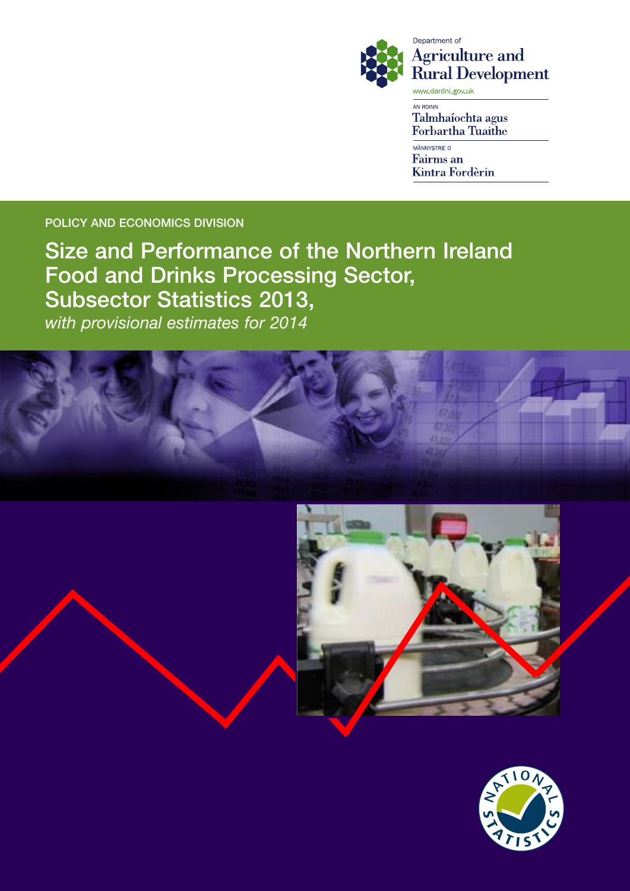

Department of **Agriculture and Rural Development** www.dardni.gov.uk

AN ROINN Talmhaíochta agus **Forbartha Tuaithe** 

MÄNNYSTRIE O **Fairms** an Kintra Fordèrin

POLICY AND ECONOMICS DIVISION

Size and Performance of the Northern Ireland Food and Drinks Processing Sector, Subsector Statistics 2013, *with provisional estimates for 2014*





![](_page_0_Picture_8.jpeg)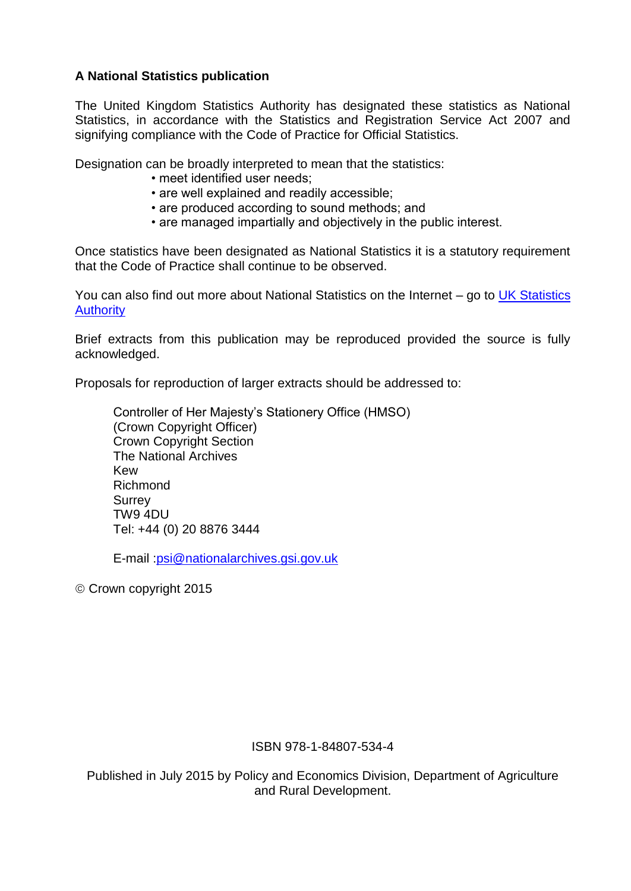## **A National Statistics publication**

The United Kingdom Statistics Authority has designated these statistics as National Statistics, in accordance with the Statistics and Registration Service Act 2007 and signifying compliance with the Code of Practice for Official Statistics.

Designation can be broadly interpreted to mean that the statistics:

- meet identified user needs;
- are well explained and readily accessible;
- are produced according to sound methods; and
- are managed impartially and objectively in the public interest.

Once statistics have been designated as National Statistics it is a statutory requirement that the Code of Practice shall continue to be observed.

You can also find out more about National Statistics on the Internet – go to [UK Statistics](http://www.statisticsauthority.gov.uk/)  [Authority](http://www.statisticsauthority.gov.uk/)

Brief extracts from this publication may be reproduced provided the source is fully acknowledged.

Proposals for reproduction of larger extracts should be addressed to:

Controller of Her Majesty's Stationery Office (HMSO) (Crown Copyright Officer) Crown Copyright Section The National Archives Kew Richmond Surrey TW9 4DU Tel: +44 (0) 20 8876 3444

E-mail [:psi@nationalarchives.gsi.gov.uk](file://csuser01/econ1/data/PATTERSO/FOOD/Food%2011%20(items%20that%20can)

Crown copyright 2015

#### ISBN 978-1-84807-534-4

Published in July 2015 by Policy and Economics Division, Department of Agriculture and Rural Development.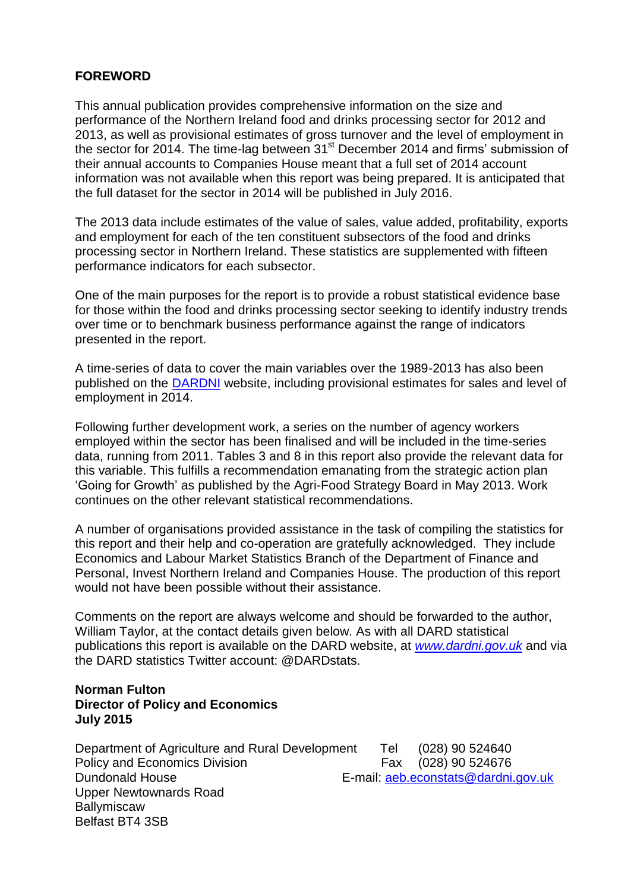## **FOREWORD**

This annual publication provides comprehensive information on the size and performance of the Northern Ireland food and drinks processing sector for 2012 and 2013, as well as provisional estimates of gross turnover and the level of employment in the sector for 2014. The time-lag between 31<sup>st</sup> December 2014 and firms' submission of their annual accounts to Companies House meant that a full set of 2014 account information was not available when this report was being prepared. It is anticipated that the full dataset for the sector in 2014 will be published in July 2016.

The 2013 data include estimates of the value of sales, value added, profitability, exports and employment for each of the ten constituent subsectors of the food and drinks processing sector in Northern Ireland. These statistics are supplemented with fifteen performance indicators for each subsector.

One of the main purposes for the report is to provide a robust statistical evidence base for those within the food and drinks processing sector seeking to identify industry trends over time or to benchmark business performance against the range of indicators presented in the report.

A time-series of data to cover the main variables over the 1989-2013 has also been published on the [DARDNI](http://www.dardni.gov.uk/index/statistics/statistical-reports/size-and-performance-of-the-ni-food-and-drinks-processing-sector.htm) website, including provisional estimates for sales and level of employment in 2014.

Following further development work, a series on the number of agency workers employed within the sector has been finalised and will be included in the time-series data, running from 2011. Tables 3 and 8 in this report also provide the relevant data for this variable. This fulfills a recommendation emanating from the strategic action plan 'Going for Growth' as published by the Agri-Food Strategy Board in May 2013. Work continues on the other relevant statistical recommendations.

A number of organisations provided assistance in the task of compiling the statistics for this report and their help and co-operation are gratefully acknowledged. They include Economics and Labour Market Statistics Branch of the Department of Finance and Personal, Invest Northern Ireland and Companies House. The production of this report would not have been possible without their assistance.

Comments on the report are always welcome and should be forwarded to the author, William Taylor, at the contact details given below. As with all DARD statistical publications this report is available on the DARD website, at *[www.dardni.gov.uk](http://www.dardni.gov.uk/index/statistics.htm)* and via the DARD statistics Twitter account: @DARDstats.

#### **Norman Fulton Director of Policy and Economics July 2015**

Department of Agriculture and Rural Development Tel (028) 90 524640 Policy and Economics Division Fax (028) 90 524676 Dundonald House E-mail: [aeb.econstats@dardni.gov.uk](mailto:aeb.econstats@dardni.gov.uk) Upper Newtownards Road **Ballymiscaw** Belfast BT4 3SB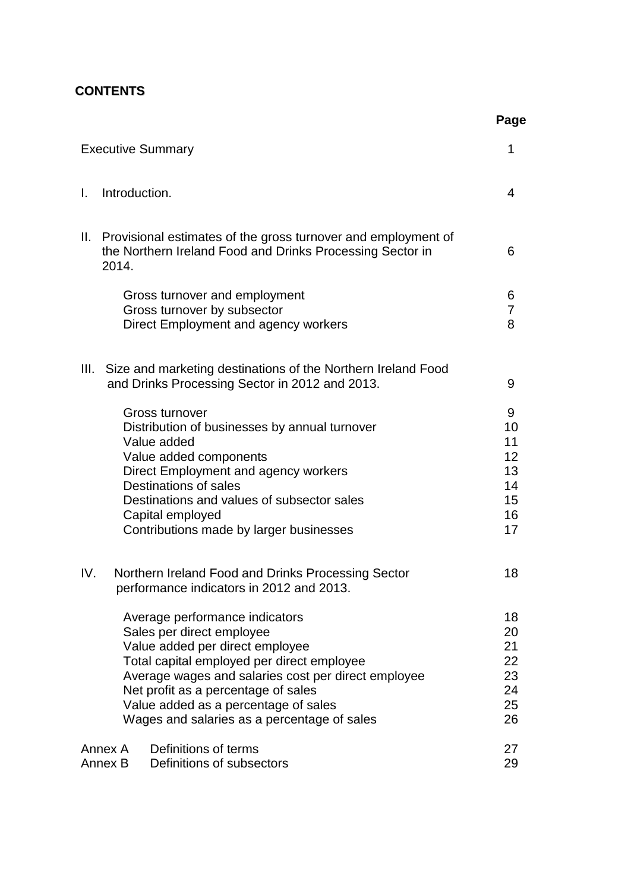## **CONTENTS**

|     |                                                                                                                                                                                                                                                                                                                                   | Page                                              |
|-----|-----------------------------------------------------------------------------------------------------------------------------------------------------------------------------------------------------------------------------------------------------------------------------------------------------------------------------------|---------------------------------------------------|
|     | <b>Executive Summary</b>                                                                                                                                                                                                                                                                                                          | 1                                                 |
| L.  | Introduction.                                                                                                                                                                                                                                                                                                                     | 4                                                 |
| Ш.  | Provisional estimates of the gross turnover and employment of<br>the Northern Ireland Food and Drinks Processing Sector in<br>2014.                                                                                                                                                                                               | 6                                                 |
|     | Gross turnover and employment<br>Gross turnover by subsector<br>Direct Employment and agency workers                                                                                                                                                                                                                              | 6<br>7<br>8                                       |
|     | III. Size and marketing destinations of the Northern Ireland Food<br>and Drinks Processing Sector in 2012 and 2013.                                                                                                                                                                                                               | 9                                                 |
|     | Gross turnover<br>Distribution of businesses by annual turnover<br>Value added<br>Value added components<br>Direct Employment and agency workers<br>Destinations of sales<br>Destinations and values of subsector sales<br>Capital employed<br>Contributions made by larger businesses                                            | 9<br>10<br>11<br>12<br>13<br>14<br>15<br>16<br>17 |
| IV. | Northern Ireland Food and Drinks Processing Sector<br>performance indicators in 2012 and 2013.                                                                                                                                                                                                                                    | 18                                                |
|     | Average performance indicators<br>Sales per direct employee<br>Value added per direct employee<br>Total capital employed per direct employee<br>Average wages and salaries cost per direct employee<br>Net profit as a percentage of sales<br>Value added as a percentage of sales<br>Wages and salaries as a percentage of sales | 18<br>20<br>21<br>22<br>23<br>24<br>25<br>26      |
|     | Definitions of terms<br>Annex A<br>Definitions of subsectors<br>Annex B                                                                                                                                                                                                                                                           | 27<br>29                                          |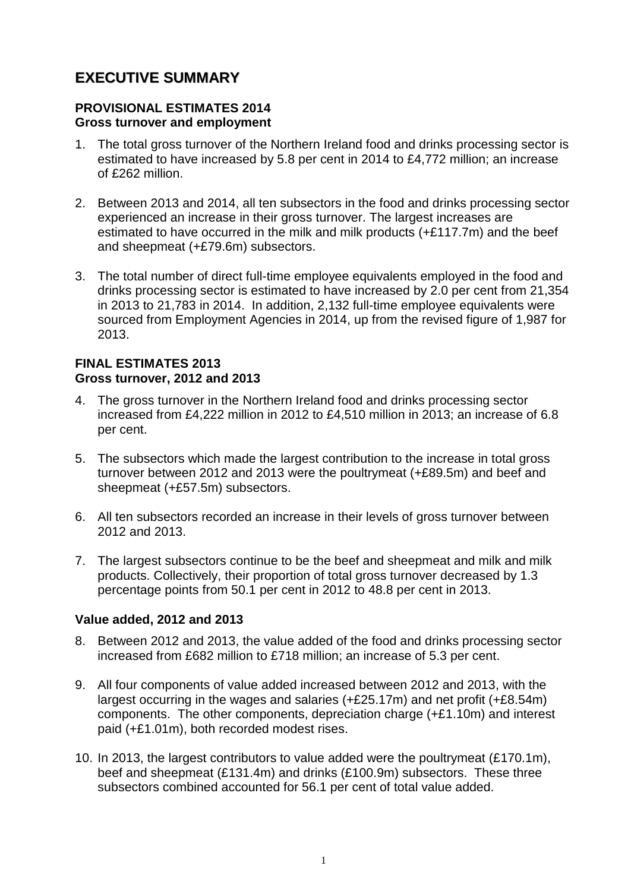# **EXECUTIVE SUMMARY**

#### **PROVISIONAL ESTIMATES 2014 Gross turnover and employment**

- 1. The total gross turnover of the Northern Ireland food and drinks processing sector is estimated to have increased by 5.8 per cent in 2014 to £4,772 million; an increase of £262 million.
- 2. Between 2013 and 2014, all ten subsectors in the food and drinks processing sector experienced an increase in their gross turnover. The largest increases are estimated to have occurred in the milk and milk products (+£117.7m) and the beef and sheepmeat (+£79.6m) subsectors.
- 3. The total number of direct full-time employee equivalents employed in the food and drinks processing sector is estimated to have increased by 2.0 per cent from 21,354 in 2013 to 21,783 in 2014. In addition, 2,132 full-time employee equivalents were sourced from Employment Agencies in 2014, up from the revised figure of 1,987 for 2013.

#### **FINAL ESTIMATES 2013 Gross turnover, 2012 and 2013**

- 4. The gross turnover in the Northern Ireland food and drinks processing sector increased from £4,222 million in 2012 to £4,510 million in 2013; an increase of 6.8 per cent.
- 5. The subsectors which made the largest contribution to the increase in total gross turnover between 2012 and 2013 were the poultrymeat (+£89.5m) and beef and sheepmeat (+£57.5m) subsectors.
- 6. All ten subsectors recorded an increase in their levels of gross turnover between 2012 and 2013.
- 7. The largest subsectors continue to be the beef and sheepmeat and milk and milk products. Collectively, their proportion of total gross turnover decreased by 1.3 percentage points from 50.1 per cent in 2012 to 48.8 per cent in 2013.

## **Value added, 2012 and 2013**

- 8. Between 2012 and 2013, the value added of the food and drinks processing sector increased from £682 million to £718 million; an increase of 5.3 per cent.
- 9. All four components of value added increased between 2012 and 2013, with the largest occurring in the wages and salaries (+£25.17m) and net profit (+£8.54m) components. The other components, depreciation charge (+£1.10m) and interest paid (+£1.01m), both recorded modest rises.
- 10. In 2013, the largest contributors to value added were the poultrymeat (£170.1m), beef and sheepmeat (£131.4m) and drinks (£100.9m) subsectors. These three subsectors combined accounted for 56.1 per cent of total value added.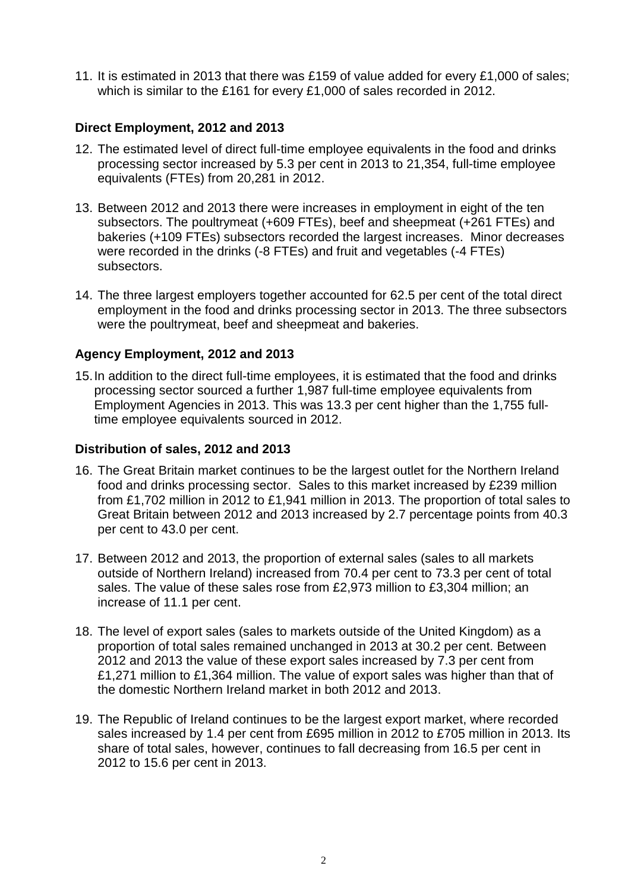11. It is estimated in 2013 that there was £159 of value added for every £1,000 of sales; which is similar to the £161 for every £1,000 of sales recorded in 2012.

## **Direct Employment, 2012 and 2013**

- 12. The estimated level of direct full-time employee equivalents in the food and drinks processing sector increased by 5.3 per cent in 2013 to 21,354, full-time employee equivalents (FTEs) from 20,281 in 2012.
- 13. Between 2012 and 2013 there were increases in employment in eight of the ten subsectors. The poultrymeat (+609 FTEs), beef and sheepmeat (+261 FTEs) and bakeries (+109 FTEs) subsectors recorded the largest increases. Minor decreases were recorded in the drinks (-8 FTEs) and fruit and vegetables (-4 FTEs) subsectors.
- 14. The three largest employers together accounted for 62.5 per cent of the total direct employment in the food and drinks processing sector in 2013. The three subsectors were the poultrymeat, beef and sheepmeat and bakeries.

## **Agency Employment, 2012 and 2013**

15.In addition to the direct full-time employees, it is estimated that the food and drinks processing sector sourced a further 1,987 full-time employee equivalents from Employment Agencies in 2013. This was 13.3 per cent higher than the 1,755 fulltime employee equivalents sourced in 2012.

#### **Distribution of sales, 2012 and 2013**

- 16. The Great Britain market continues to be the largest outlet for the Northern Ireland food and drinks processing sector. Sales to this market increased by £239 million from £1,702 million in 2012 to £1,941 million in 2013. The proportion of total sales to Great Britain between 2012 and 2013 increased by 2.7 percentage points from 40.3 per cent to 43.0 per cent.
- 17. Between 2012 and 2013, the proportion of external sales (sales to all markets outside of Northern Ireland) increased from 70.4 per cent to 73.3 per cent of total sales. The value of these sales rose from £2,973 million to £3,304 million; an increase of 11.1 per cent.
- 18. The level of export sales (sales to markets outside of the United Kingdom) as a proportion of total sales remained unchanged in 2013 at 30.2 per cent. Between 2012 and 2013 the value of these export sales increased by 7.3 per cent from £1,271 million to £1,364 million. The value of export sales was higher than that of the domestic Northern Ireland market in both 2012 and 2013.
- 19. The Republic of Ireland continues to be the largest export market, where recorded sales increased by 1.4 per cent from £695 million in 2012 to £705 million in 2013. Its share of total sales, however, continues to fall decreasing from 16.5 per cent in 2012 to 15.6 per cent in 2013.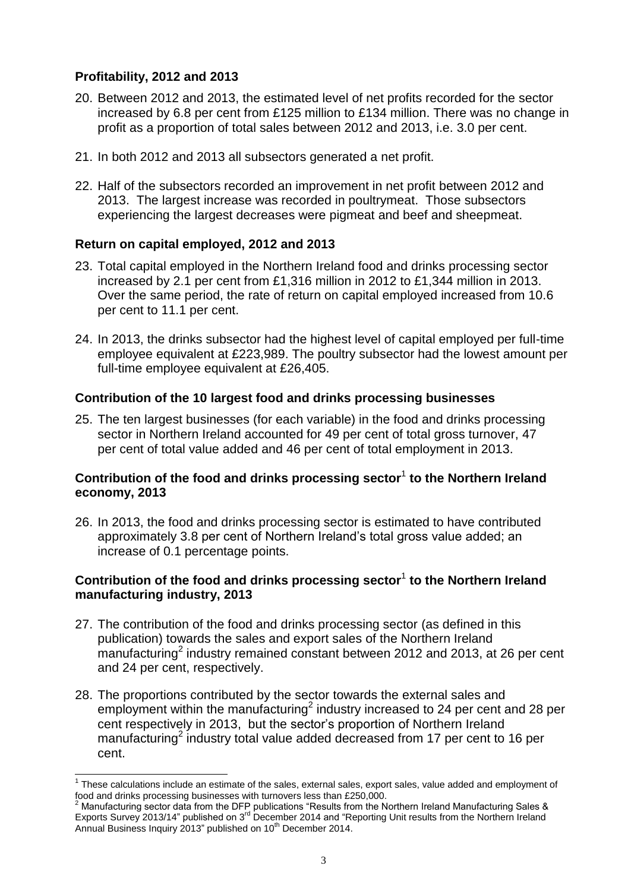## **Profitability, 2012 and 2013**

- 20. Between 2012 and 2013, the estimated level of net profits recorded for the sector increased by 6.8 per cent from £125 million to £134 million. There was no change in profit as a proportion of total sales between 2012 and 2013, i.e. 3.0 per cent.
- 21. In both 2012 and 2013 all subsectors generated a net profit.
- 22. Half of the subsectors recorded an improvement in net profit between 2012 and 2013. The largest increase was recorded in poultrymeat. Those subsectors experiencing the largest decreases were pigmeat and beef and sheepmeat.

## **Return on capital employed, 2012 and 2013**

- 23. Total capital employed in the Northern Ireland food and drinks processing sector increased by 2.1 per cent from £1,316 million in 2012 to £1,344 million in 2013. Over the same period, the rate of return on capital employed increased from 10.6 per cent to 11.1 per cent.
- 24. In 2013, the drinks subsector had the highest level of capital employed per full-time employee equivalent at £223,989. The poultry subsector had the lowest amount per full-time employee equivalent at £26,405.

## **Contribution of the 10 largest food and drinks processing businesses**

25. The ten largest businesses (for each variable) in the food and drinks processing sector in Northern Ireland accounted for 49 per cent of total gross turnover, 47 per cent of total value added and 46 per cent of total employment in 2013.

## **Contribution of the food and drinks processing sector**<sup>1</sup> **to the Northern Ireland economy, 2013**

26. In 2013, the food and drinks processing sector is estimated to have contributed approximately 3.8 per cent of Northern Ireland's total gross value added; an increase of 0.1 percentage points.

## **Contribution of the food and drinks processing sector**<sup>1</sup> **to the Northern Ireland manufacturing industry, 2013**

- 27. The contribution of the food and drinks processing sector (as defined in this publication) towards the sales and export sales of the Northern Ireland manufacturing<sup>2</sup> industry remained constant between 2012 and 2013, at 26 per cent and 24 per cent, respectively.
- 28. The proportions contributed by the sector towards the external sales and employment within the manufacturing<sup>2</sup> industry increased to 24 per cent and 28 per cent respectively in 2013, but the sector's proportion of Northern Ireland manufacturing<sup>2</sup> industry total value added decreased from 17 per cent to 16 per cent.

 1 These calculations include an estimate of the sales, external sales, export sales, value added and employment of food and drinks processing businesses with turnovers less than £250,000.

 $^2$  Manufacturing sector data from the DFP publications "Results from the Northern Ireland Manufacturing Sales & Exports Survey 2013/14" published on 3<sup>rd</sup> December 2014 and "Reporting Unit results from the Northern Ireland Annual Business Inquiry 2013" published on 10<sup>th</sup> December 2014.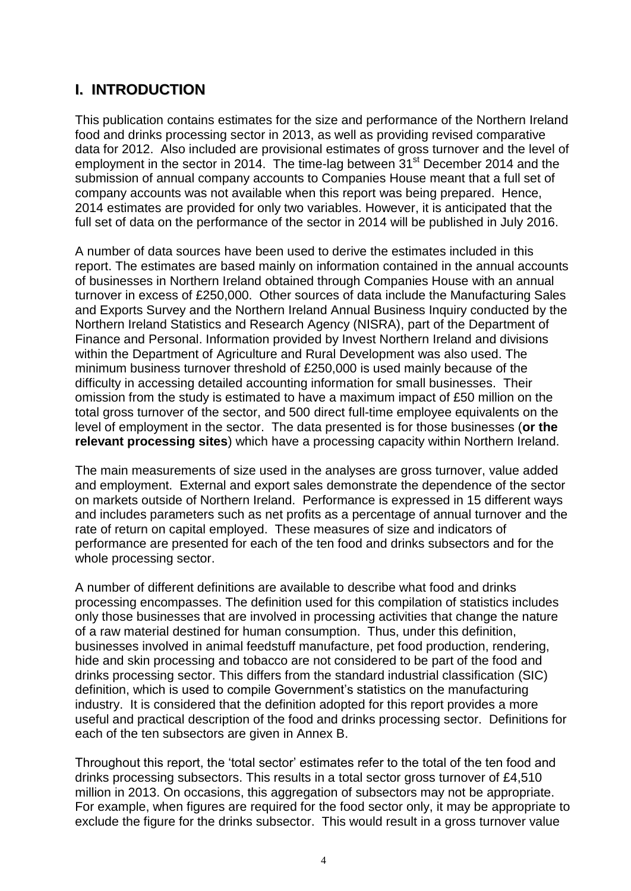# **I. INTRODUCTION**

This publication contains estimates for the size and performance of the Northern Ireland food and drinks processing sector in 2013, as well as providing revised comparative data for 2012. Also included are provisional estimates of gross turnover and the level of employment in the sector in 2014. The time-lag between 31<sup>st</sup> December 2014 and the submission of annual company accounts to Companies House meant that a full set of company accounts was not available when this report was being prepared. Hence, 2014 estimates are provided for only two variables. However, it is anticipated that the full set of data on the performance of the sector in 2014 will be published in July 2016.

A number of data sources have been used to derive the estimates included in this report. The estimates are based mainly on information contained in the annual accounts of businesses in Northern Ireland obtained through Companies House with an annual turnover in excess of £250,000. Other sources of data include the Manufacturing Sales and Exports Survey and the Northern Ireland Annual Business Inquiry conducted by the Northern Ireland Statistics and Research Agency (NISRA), part of the Department of Finance and Personal. Information provided by Invest Northern Ireland and divisions within the Department of Agriculture and Rural Development was also used. The minimum business turnover threshold of £250,000 is used mainly because of the difficulty in accessing detailed accounting information for small businesses. Their omission from the study is estimated to have a maximum impact of £50 million on the total gross turnover of the sector, and 500 direct full-time employee equivalents on the level of employment in the sector. The data presented is for those businesses (**or the relevant processing sites**) which have a processing capacity within Northern Ireland.

The main measurements of size used in the analyses are gross turnover, value added and employment. External and export sales demonstrate the dependence of the sector on markets outside of Northern Ireland. Performance is expressed in 15 different ways and includes parameters such as net profits as a percentage of annual turnover and the rate of return on capital employed. These measures of size and indicators of performance are presented for each of the ten food and drinks subsectors and for the whole processing sector.

A number of different definitions are available to describe what food and drinks processing encompasses. The definition used for this compilation of statistics includes only those businesses that are involved in processing activities that change the nature of a raw material destined for human consumption. Thus, under this definition, businesses involved in animal feedstuff manufacture, pet food production, rendering, hide and skin processing and tobacco are not considered to be part of the food and drinks processing sector. This differs from the standard industrial classification (SIC) definition, which is used to compile Government's statistics on the manufacturing industry. It is considered that the definition adopted for this report provides a more useful and practical description of the food and drinks processing sector. Definitions for each of the ten subsectors are given in Annex B.

Throughout this report, the 'total sector' estimates refer to the total of the ten food and drinks processing subsectors. This results in a total sector gross turnover of £4,510 million in 2013. On occasions, this aggregation of subsectors may not be appropriate. For example, when figures are required for the food sector only, it may be appropriate to exclude the figure for the drinks subsector. This would result in a gross turnover value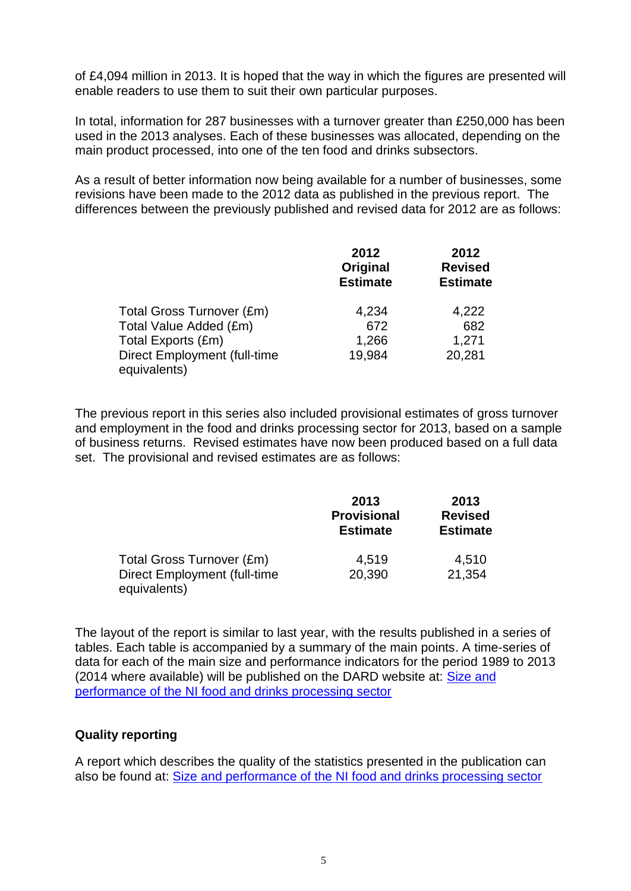of £4,094 million in 2013. It is hoped that the way in which the figures are presented will enable readers to use them to suit their own particular purposes.

In total, information for 287 businesses with a turnover greater than £250,000 has been used in the 2013 analyses. Each of these businesses was allocated, depending on the main product processed, into one of the ten food and drinks subsectors.

As a result of better information now being available for a number of businesses, some revisions have been made to the 2012 data as published in the previous report. The differences between the previously published and revised data for 2012 are as follows:

|                                     | 2012<br>Original<br><b>Estimate</b> | 2012<br><b>Revised</b><br><b>Estimate</b> |
|-------------------------------------|-------------------------------------|-------------------------------------------|
| Total Gross Turnover (£m)           | 4,234                               | 4,222                                     |
| Total Value Added (£m)              | 672                                 | 682                                       |
| Total Exports (£m)                  | 1,266                               | 1,271                                     |
| <b>Direct Employment (full-time</b> | 19,984                              | 20,281                                    |
| equivalents)                        |                                     |                                           |

The previous report in this series also included provisional estimates of gross turnover and employment in the food and drinks processing sector for 2013, based on a sample of business returns. Revised estimates have now been produced based on a full data set. The provisional and revised estimates are as follows:

|                                              | 2013<br><b>Provisional</b><br><b>Estimate</b> | 2013<br><b>Revised</b><br><b>Estimate</b> |
|----------------------------------------------|-----------------------------------------------|-------------------------------------------|
| Total Gross Turnover (£m)                    | 4,519                                         | 4,510                                     |
| Direct Employment (full-time<br>equivalents) | 20,390                                        | 21,354                                    |

The layout of the report is similar to last year, with the results published in a series of tables. Each table is accompanied by a summary of the main points. A time-series of data for each of the main size and performance indicators for the period 1989 to 2013 (2014 where available) will be published on the DARD website at: [Size and](http://www.dardni.gov.uk/index/statistics/statistical-reports/size-and-performance-of-the-ni-food-and-drinks-processing-sector.htm)  [performance of the NI food and drinks processing sector](http://www.dardni.gov.uk/index/statistics/statistical-reports/size-and-performance-of-the-ni-food-and-drinks-processing-sector.htm)

#### **Quality reporting**

A report which describes the quality of the statistics presented in the publication can also be found at: [Size and performance of the NI food and drinks processing sector](http://www.dardni.gov.uk/index/statistics/statistical-reports/size-and-performance-of-the-ni-food-and-drinks-processing-sector.htm)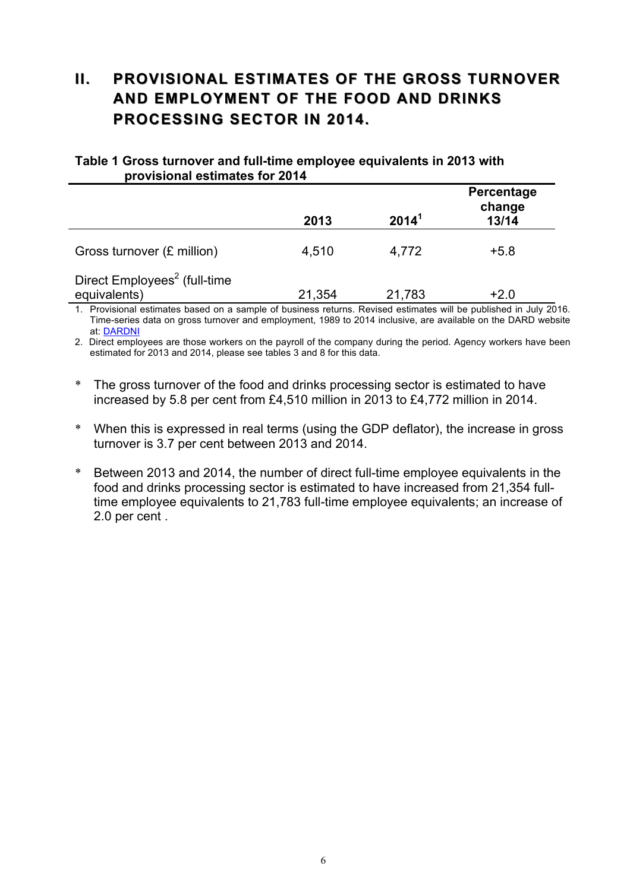# **II. PROVISIONAL ESTIMATES OF THE GROSS TURNOVER AND EMPLOYMENT OF THE FOOD AND DRINKS PROCESSING SECTOR IN 2014.**

#### **Table 1 Gross turnover and full-time employee equivalents in 2013 with provisional estimates for 2014**

|                                                          | 2013   | 2014 <sup>1</sup> | Percentage<br>change<br>13/14 |
|----------------------------------------------------------|--------|-------------------|-------------------------------|
| Gross turnover (£ million)                               | 4,510  | 4,772             | $+5.8$                        |
| Direct Employees <sup>2</sup> (full-time<br>equivalents) | 21,354 | 21,783            | $+2.0$                        |

1. Provisional estimates based on a sample of business returns. Revised estimates will be published in July 2016. Time-series data on gross turnover and employment, 1989 to 2014 inclusive, are available on the DARD website at: DARDNI

2. Direct employees are those workers on the payroll of the company during the period. Agency workers have been estimated for 2013 and 2014, please see tables 3 and 8 for this data.

- \* The gross turnover of the food and drinks processing sector is estimated to have increased by 5.8 per cent from £4,510 million in 2013 to £4,772 million in 2014.
- \* When this is expressed in real terms (using the GDP deflator), the increase in gross turnover is 3.7 per cent between 2013 and 2014.
- \* Between 2013 and 2014, the number of direct full-time employee equivalents in the food and drinks processing sector is estimated to have increased from 21,354 fulltime employee equivalents to 21,783 full-time employee equivalents; an increase of 2.0 per cent .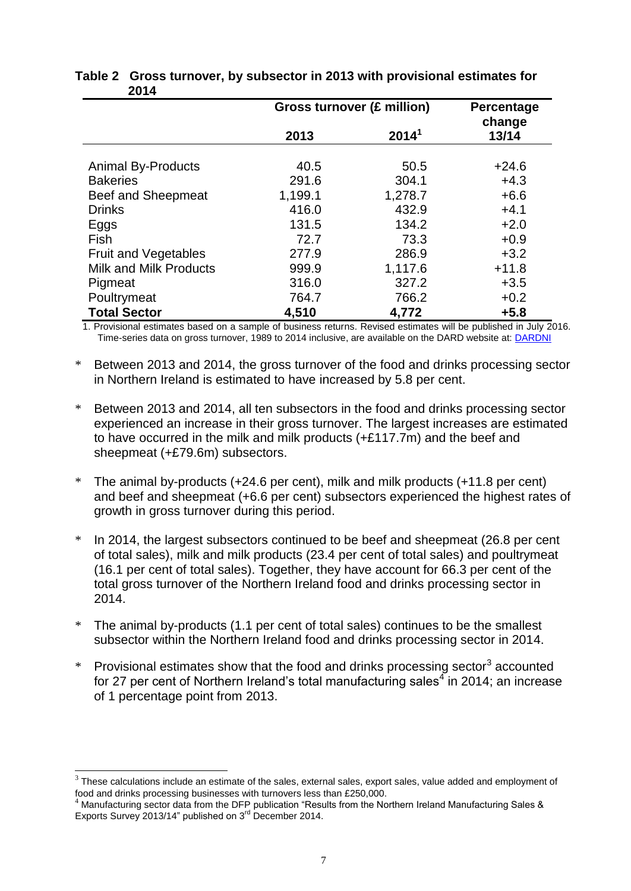|                             | <b>Gross turnover (£ million)</b> | Percentage<br>change |         |
|-----------------------------|-----------------------------------|----------------------|---------|
|                             | 2013                              | 2014 <sup>1</sup>    | 13/14   |
| <b>Animal By-Products</b>   | 40.5                              | 50.5                 | $+24.6$ |
| <b>Bakeries</b>             | 291.6                             | 304.1                | $+4.3$  |
| Beef and Sheepmeat          | 1,199.1                           | 1,278.7              | $+6.6$  |
| <b>Drinks</b>               | 416.0                             | 432.9                | $+4.1$  |
| Eggs                        | 131.5                             | 134.2                | $+2.0$  |
| Fish                        | 72.7                              | 73.3                 | $+0.9$  |
| <b>Fruit and Vegetables</b> | 277.9                             | 286.9                | $+3.2$  |
| Milk and Milk Products      | 999.9                             | 1,117.6              | $+11.8$ |
| Pigmeat                     | 316.0                             | 327.2                | $+3.5$  |
| Poultrymeat                 | 764.7                             | 766.2                | $+0.2$  |
| <b>Total Sector</b>         | 4,510                             | 4,772                | $+5.8$  |

#### **Table 2 Gross turnover, by subsector in 2013 with provisional estimates for 2014**

1. Provisional estimates based on a sample of business returns. Revised estimates will be published in July 2016. Time-series data on gross turnover, 1989 to 2014 inclusive, are available on the DARD website at: [DARDNI](http://www.dardni.gov.uk/index/statistics/statistical-reports/size-and-performance-of-the-ni-food-and-drinks-processing-sector.htm)

- \* Between 2013 and 2014, the gross turnover of the food and drinks processing sector in Northern Ireland is estimated to have increased by 5.8 per cent.
- \* Between 2013 and 2014, all ten subsectors in the food and drinks processing sector experienced an increase in their gross turnover. The largest increases are estimated to have occurred in the milk and milk products (+£117.7m) and the beef and sheepmeat (+£79.6m) subsectors.
- \* The animal by-products (+24.6 per cent), milk and milk products (+11.8 per cent) and beef and sheepmeat (+6.6 per cent) subsectors experienced the highest rates of growth in gross turnover during this period.
- In 2014, the largest subsectors continued to be beef and sheepmeat (26.8 per cent of total sales), milk and milk products (23.4 per cent of total sales) and poultrymeat (16.1 per cent of total sales). Together, they have account for 66.3 per cent of the total gross turnover of the Northern Ireland food and drinks processing sector in 2014.
- \* The animal by-products (1.1 per cent of total sales) continues to be the smallest subsector within the Northern Ireland food and drinks processing sector in 2014.
- $*$  Provisional estimates show that the food and drinks processing sector<sup>3</sup> accounted for 27 per cent of Northern Ireland's total manufacturing sales<sup>4</sup> in 2014; an increase of 1 percentage point from 2013.

 3 These calculations include an estimate of the sales, external sales, export sales, value added and employment of food and drinks processing businesses with turnovers less than £250,000.

<sup>4</sup> Manufacturing sector data from the DFP publication "Results from the Northern Ireland Manufacturing Sales & Exports Survey 2013/14" published on 3<sup>rd</sup> December 2014.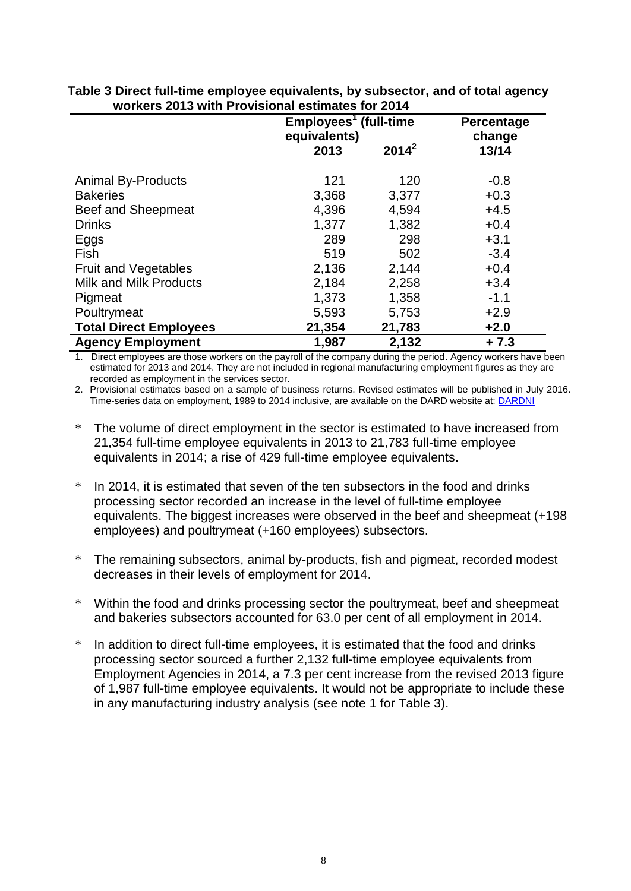|                               |              | Employees <sup>1</sup> (full-time |        |  |
|-------------------------------|--------------|-----------------------------------|--------|--|
|                               | equivalents) |                                   | change |  |
|                               | 2013         | $2014^2$                          | 13/14  |  |
|                               |              |                                   |        |  |
| <b>Animal By-Products</b>     | 121          | 120                               | $-0.8$ |  |
| <b>Bakeries</b>               | 3,368        | 3,377                             | $+0.3$ |  |
| <b>Beef and Sheepmeat</b>     | 4,396        | 4,594                             | $+4.5$ |  |
| <b>Drinks</b>                 | 1,377        | 1,382                             | $+0.4$ |  |
| Eggs                          | 289          | 298                               | $+3.1$ |  |
| Fish                          | 519          | 502                               | $-3.4$ |  |
| <b>Fruit and Vegetables</b>   | 2,136        | 2,144                             | $+0.4$ |  |
| Milk and Milk Products        | 2,184        | 2,258                             | $+3.4$ |  |
| Pigmeat                       | 1,373        | 1,358                             | $-1.1$ |  |
| Poultrymeat                   | 5,593        | 5,753                             | $+2.9$ |  |
| <b>Total Direct Employees</b> | 21,354       | 21,783                            | $+2.0$ |  |
| <b>Agency Employment</b>      | 1,987        | 2,132                             | $+7.3$ |  |

**Table 3 Direct full-time employee equivalents, by subsector, and of total agency workers 2013 with Provisional estimates for 2014**

1. Direct employees are those workers on the payroll of the company during the period. Agency workers have been estimated for 2013 and 2014. They are not included in regional manufacturing employment figures as they are recorded as employment in the services sector.

2. Provisional estimates based on a sample of business returns. Revised estimates will be published in July 2016. Time-series data on employment, 1989 to 2014 inclusive, are available on the DARD website at: [DARDNI](http://www.dardni.gov.uk/index/statistics/statistical-reports/size-and-performance-of-the-ni-food-and-drinks-processing-sector.htm) 

- \* The volume of direct employment in the sector is estimated to have increased from 21,354 full-time employee equivalents in 2013 to 21,783 full-time employee equivalents in 2014; a rise of 429 full-time employee equivalents.
- \* In 2014, it is estimated that seven of the ten subsectors in the food and drinks processing sector recorded an increase in the level of full-time employee equivalents. The biggest increases were observed in the beef and sheepmeat (+198 employees) and poultrymeat (+160 employees) subsectors.
- \* The remaining subsectors, animal by-products, fish and pigmeat, recorded modest decreases in their levels of employment for 2014.
- \* Within the food and drinks processing sector the poultrymeat, beef and sheepmeat and bakeries subsectors accounted for 63.0 per cent of all employment in 2014.
- \* In addition to direct full-time employees, it is estimated that the food and drinks processing sector sourced a further 2,132 full-time employee equivalents from Employment Agencies in 2014, a 7.3 per cent increase from the revised 2013 figure of 1,987 full-time employee equivalents. It would not be appropriate to include these in any manufacturing industry analysis (see note 1 for Table 3).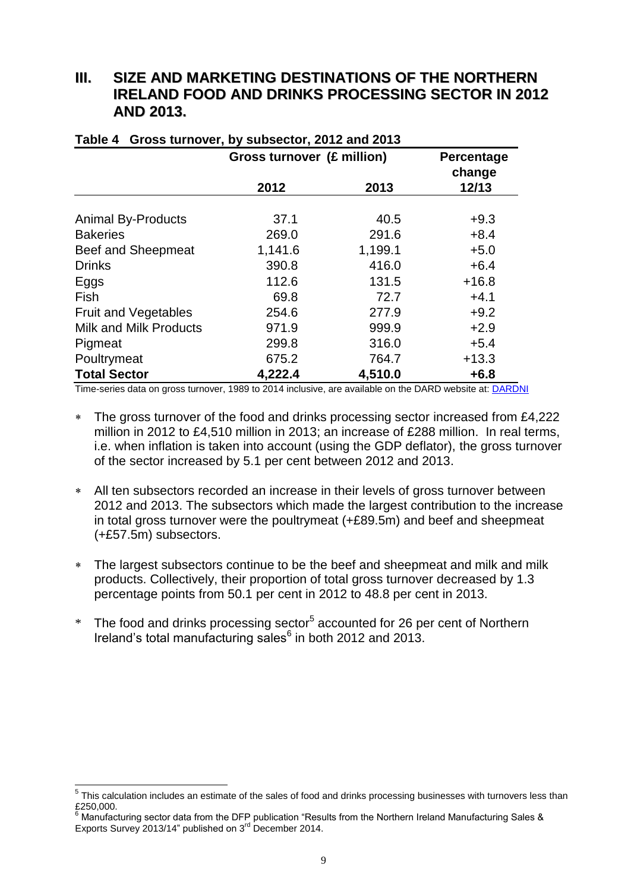## **III. SIZE AND MARKETING DESTINATIONS OF THE NORTHERN IRELAND FOOD AND DRINKS PROCESSING SECTOR IN 2012 AND 2013.**

|                               | <b>Gross turnover (£ million)</b> |         | Percentage<br>change |
|-------------------------------|-----------------------------------|---------|----------------------|
|                               | 2012                              | 2013    | 12/13                |
| <b>Animal By-Products</b>     | 37.1                              | 40.5    | $+9.3$               |
| <b>Bakeries</b>               | 269.0                             | 291.6   | $+8.4$               |
| Beef and Sheepmeat            | 1,141.6                           | 1,199.1 | $+5.0$               |
| <b>Drinks</b>                 | 390.8                             | 416.0   | $+6.4$               |
| Eggs                          | 112.6                             | 131.5   | $+16.8$              |
| Fish                          | 69.8                              | 72.7    | $+4.1$               |
| <b>Fruit and Vegetables</b>   | 254.6                             | 277.9   | $+9.2$               |
| <b>Milk and Milk Products</b> | 971.9                             | 999.9   | $+2.9$               |
| Pigmeat                       | 299.8                             | 316.0   | $+5.4$               |
| Poultrymeat                   | 675.2                             | 764.7   | $+13.3$              |
| <b>Total Sector</b>           | 4,222.4                           | 4,510.0 | $+6.8$               |

# **Table 4 Gross turnover, by subsector, 2012 and 2013**

Time-series data on gross turnover, 1989 to 2014 inclusive, are available on the DARD website at[: DARDNI](http://www.dardni.gov.uk/index/statistics/statistical-reports/size-and-performance-of-the-ni-food-and-drinks-processing-sector.htm) 

- \* The gross turnover of the food and drinks processing sector increased from £4,222 million in 2012 to £4,510 million in 2013; an increase of £288 million. In real terms, i.e. when inflation is taken into account (using the GDP deflator), the gross turnover of the sector increased by 5.1 per cent between 2012 and 2013.
- All ten subsectors recorded an increase in their levels of gross turnover between 2012 and 2013. The subsectors which made the largest contribution to the increase in total gross turnover were the poultrymeat (+£89.5m) and beef and sheepmeat (+£57.5m) subsectors.
- The largest subsectors continue to be the beef and sheepmeat and milk and milk products. Collectively, their proportion of total gross turnover decreased by 1.3 percentage points from 50.1 per cent in 2012 to 48.8 per cent in 2013.
- \* The food and drinks processing sector<sup>5</sup> accounted for 26 per cent of Northern Ireland's total manufacturing sales<sup>6</sup> in both 2012 and 2013.

 5 This calculation includes an estimate of the sales of food and drinks processing businesses with turnovers less than £250,000.

<sup>6</sup> Manufacturing sector data from the DFP publication "Results from the Northern Ireland Manufacturing Sales & Exports Survey 2013/14" published on 3<sup>rd</sup> December 2014.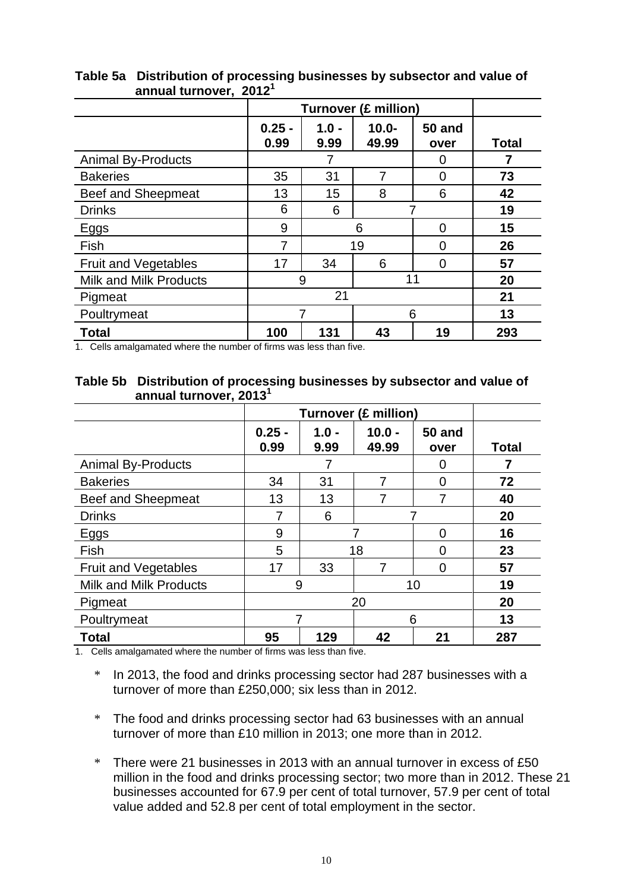|                               | <b>Turnover (£ million)</b> |                 |                   |                       |              |
|-------------------------------|-----------------------------|-----------------|-------------------|-----------------------|--------------|
|                               | $0.25 -$<br>0.99            | $1.0 -$<br>9.99 | $10.0 -$<br>49.99 | <b>50 and</b><br>over | <b>Total</b> |
| <b>Animal By-Products</b>     |                             |                 |                   | 0                     |              |
| <b>Bakeries</b>               | 35                          | 31              |                   | 0                     | 73           |
| Beef and Sheepmeat            | 13                          | 15              | 8                 | 6                     | 42           |
| <b>Drinks</b>                 | 6                           | 6               |                   |                       | 19           |
| Eggs                          | 9                           |                 | 6                 | ∩                     | 15           |
| Fish                          | 7                           |                 | 19                | ∩                     | 26           |
| <b>Fruit and Vegetables</b>   | 17                          | 34              | 6                 | ∩                     | 57           |
| <b>Milk and Milk Products</b> | 11<br>9                     |                 |                   | 20                    |              |
| Pigmeat                       | 21                          |                 |                   |                       | 21           |
| Poultrymeat                   | 7<br>6                      |                 |                   | 13                    |              |
| <b>Total</b>                  | 100                         | 131             | 43                | 19                    | 293          |

#### **Table 5a Distribution of processing businesses by subsector and value of annual turnover, 2012 1**

1. Cells amalgamated where the number of firms was less than five.

#### **Table 5b Distribution of processing businesses by subsector and value of annual turnover, 2013 1**

|                               |                  | <b>Turnover (£ million)</b> |                   |                       |              |
|-------------------------------|------------------|-----------------------------|-------------------|-----------------------|--------------|
|                               | $0.25 -$<br>0.99 | $1.0 -$<br>9.99             | $10.0 -$<br>49.99 | <b>50 and</b><br>over | <b>Total</b> |
| <b>Animal By-Products</b>     |                  |                             |                   | 0                     | 7            |
| <b>Bakeries</b>               | 34               | 31                          | 7                 | 0                     | 72           |
| Beef and Sheepmeat            | 13               | 13                          |                   |                       | 40           |
| <b>Drinks</b>                 | 7                | 6                           |                   |                       | 20           |
| Eggs                          | 9                |                             | 0                 |                       | 16           |
| Fish                          | 5                |                             | 18                | Ω                     | 23           |
| <b>Fruit and Vegetables</b>   | 17               | 33                          | 7                 | 0                     | 57           |
| <b>Milk and Milk Products</b> | 10<br>9          |                             | 19                |                       |              |
| Pigmeat                       | 20               |                             |                   | 20                    |              |
| Poultrymeat                   | 6<br>7           |                             |                   | 13                    |              |
| <b>Total</b>                  | 95               | 129                         | 42                | 21                    | 287          |

1. Cells amalgamated where the number of firms was less than five.

\* In 2013, the food and drinks processing sector had 287 businesses with a turnover of more than £250,000; six less than in 2012.

- \* The food and drinks processing sector had 63 businesses with an annual turnover of more than £10 million in 2013; one more than in 2012.
- \* There were 21 businesses in 2013 with an annual turnover in excess of £50 million in the food and drinks processing sector; two more than in 2012. These 21 businesses accounted for 67.9 per cent of total turnover, 57.9 per cent of total value added and 52.8 per cent of total employment in the sector.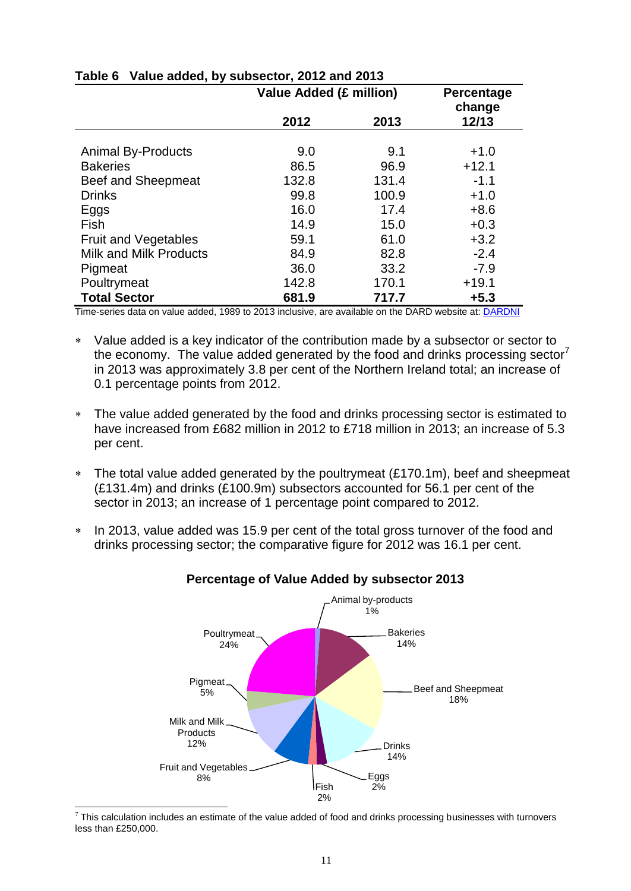|                               | Value Added (£ million) | Percentage<br>change |         |
|-------------------------------|-------------------------|----------------------|---------|
|                               | 2012                    | 2013                 | 12/13   |
|                               |                         |                      |         |
| <b>Animal By-Products</b>     | 9.0                     | 9.1                  | $+1.0$  |
| <b>Bakeries</b>               | 86.5                    | 96.9                 | $+12.1$ |
| Beef and Sheepmeat            | 132.8                   | 131.4                | $-1.1$  |
| <b>Drinks</b>                 | 99.8                    | 100.9                | $+1.0$  |
| Eggs                          | 16.0                    | 17.4                 | $+8.6$  |
| Fish                          | 14.9                    | 15.0                 | $+0.3$  |
| <b>Fruit and Vegetables</b>   | 59.1                    | 61.0                 | $+3.2$  |
| <b>Milk and Milk Products</b> | 84.9                    | 82.8                 | $-2.4$  |
| Pigmeat                       | 36.0                    | 33.2                 | $-7.9$  |
| Poultrymeat                   | 142.8                   | 170.1                | $+19.1$ |
| <b>Total Sector</b>           | 681.9                   | 717.7                | $+5.3$  |

## **Table 6 Value added, by subsector, 2012 and 2013**

Time-series data on value added, 1989 to 2013 inclusive, are available on the DARD website at: [DARDNI](http://www.dardni.gov.uk/index/statistics/statistical-reports/size-and-performance-of-the-ni-food-and-drinks-processing-sector.htm) 

- Value added is a key indicator of the contribution made by a subsector or sector to the economy. The value added generated by the food and drinks processing sector<sup>7</sup> in 2013 was approximately 3.8 per cent of the Northern Ireland total; an increase of 0.1 percentage points from 2012.
- The value added generated by the food and drinks processing sector is estimated to have increased from £682 million in 2012 to £718 million in 2013; an increase of 5.3 per cent.
- \* The total value added generated by the poultrymeat (£170.1m), beef and sheepmeat (£131.4m) and drinks (£100.9m) subsectors accounted for 56.1 per cent of the sector in 2013; an increase of 1 percentage point compared to 2012.
- \* In 2013, value added was 15.9 per cent of the total gross turnover of the food and drinks processing sector; the comparative figure for 2012 was 16.1 per cent.

![](_page_14_Figure_7.jpeg)

#### **Percentage of Value Added by subsector 2013**

 $\overline{a}$ 

 $7$  This calculation includes an estimate of the value added of food and drinks processing businesses with turnovers less than £250,000.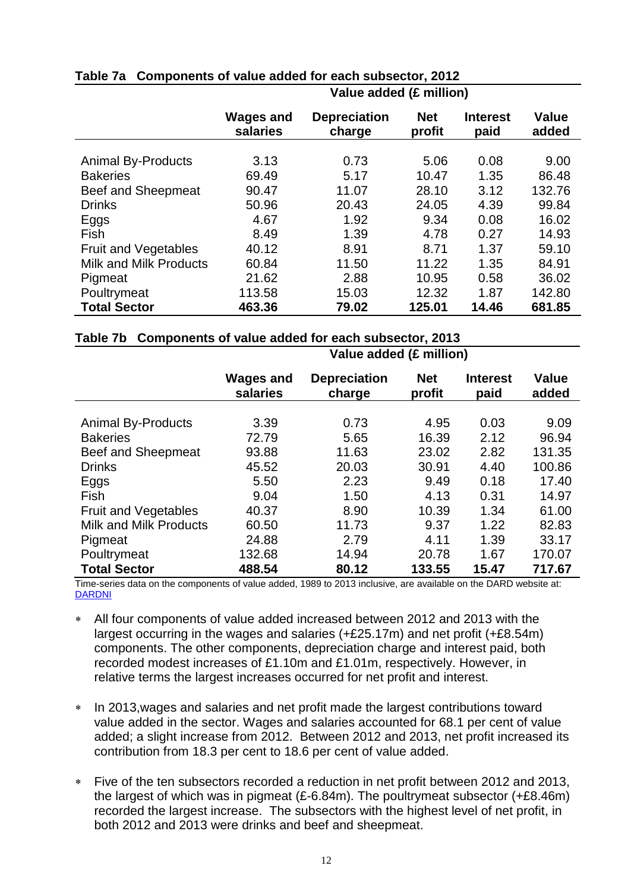|                               | $\sim$ and added its minimum |                               |                      |                         |                       |
|-------------------------------|------------------------------|-------------------------------|----------------------|-------------------------|-----------------------|
|                               | <b>Wages and</b><br>salaries | <b>Depreciation</b><br>charge | <b>Net</b><br>profit | <b>Interest</b><br>paid | <b>Value</b><br>added |
|                               |                              |                               |                      |                         |                       |
| <b>Animal By-Products</b>     | 3.13                         | 0.73                          | 5.06                 | 0.08                    | 9.00                  |
| <b>Bakeries</b>               | 69.49                        | 5.17                          | 10.47                | 1.35                    | 86.48                 |
| Beef and Sheepmeat            | 90.47                        | 11.07                         | 28.10                | 3.12                    | 132.76                |
| <b>Drinks</b>                 | 50.96                        | 20.43                         | 24.05                | 4.39                    | 99.84                 |
| Eggs                          | 4.67                         | 1.92                          | 9.34                 | 0.08                    | 16.02                 |
| Fish                          | 8.49                         | 1.39                          | 4.78                 | 0.27                    | 14.93                 |
| <b>Fruit and Vegetables</b>   | 40.12                        | 8.91                          | 8.71                 | 1.37                    | 59.10                 |
| <b>Milk and Milk Products</b> | 60.84                        | 11.50                         | 11.22                | 1.35                    | 84.91                 |
| Pigmeat                       | 21.62                        | 2.88                          | 10.95                | 0.58                    | 36.02                 |
| Poultrymeat                   | 113.58                       | 15.03                         | 12.32                | 1.87                    | 142.80                |
| <b>Total Sector</b>           | 463.36                       | 79.02                         | 125.01               | 14.46                   | 681.85                |

#### **Table 7a Components of value added for each subsector, 2012 Value added (£ million)**

## **Table 7b Components of value added for each subsector, 2013**

|                               | <b>Wages and</b><br>salaries | <b>Depreciation</b><br>charge | <b>Net</b><br>profit | <b>Interest</b><br>paid | <b>Value</b><br>added |
|-------------------------------|------------------------------|-------------------------------|----------------------|-------------------------|-----------------------|
|                               |                              |                               |                      |                         |                       |
| <b>Animal By-Products</b>     | 3.39                         | 0.73                          | 4.95                 | 0.03                    | 9.09                  |
| <b>Bakeries</b>               | 72.79                        | 5.65                          | 16.39                | 2.12                    | 96.94                 |
| <b>Beef and Sheepmeat</b>     | 93.88                        | 11.63                         | 23.02                | 2.82                    | 131.35                |
| <b>Drinks</b>                 | 45.52                        | 20.03                         | 30.91                | 4.40                    | 100.86                |
| Eggs                          | 5.50                         | 2.23                          | 9.49                 | 0.18                    | 17.40                 |
| Fish                          | 9.04                         | 1.50                          | 4.13                 | 0.31                    | 14.97                 |
| <b>Fruit and Vegetables</b>   | 40.37                        | 8.90                          | 10.39                | 1.34                    | 61.00                 |
| <b>Milk and Milk Products</b> | 60.50                        | 11.73                         | 9.37                 | 1.22                    | 82.83                 |
| Pigmeat                       | 24.88                        | 2.79                          | 4.11                 | 1.39                    | 33.17                 |
| Poultrymeat                   | 132.68                       | 14.94                         | 20.78                | 1.67                    | 170.07                |
| <b>Total Sector</b>           | 488.54                       | 80.12                         | 133.55               | 15.47                   | 717.67                |

**Value added (£ million)**

Time-series data on the components of value added, 1989 to 2013 inclusive, are available on the DARD website at: [DARDNI](http://www.dardni.gov.uk/index/statistics/statistical-reports/size-and-performance-of-the-ni-food-and-drinks-processing-sector.htm)

- All four components of value added increased between 2012 and 2013 with the largest occurring in the wages and salaries (+£25.17m) and net profit (+£8.54m) components. The other components, depreciation charge and interest paid, both recorded modest increases of £1.10m and £1.01m, respectively. However, in relative terms the largest increases occurred for net profit and interest.
- \* In 2013, wages and salaries and net profit made the largest contributions toward value added in the sector. Wages and salaries accounted for 68.1 per cent of value added; a slight increase from 2012. Between 2012 and 2013, net profit increased its contribution from 18.3 per cent to 18.6 per cent of value added.
- Five of the ten subsectors recorded a reduction in net profit between 2012 and 2013, the largest of which was in pigmeat  $(E-6.84m)$ . The poultrymeat subsector  $(+E8.46m)$ recorded the largest increase. The subsectors with the highest level of net profit, in both 2012 and 2013 were drinks and beef and sheepmeat.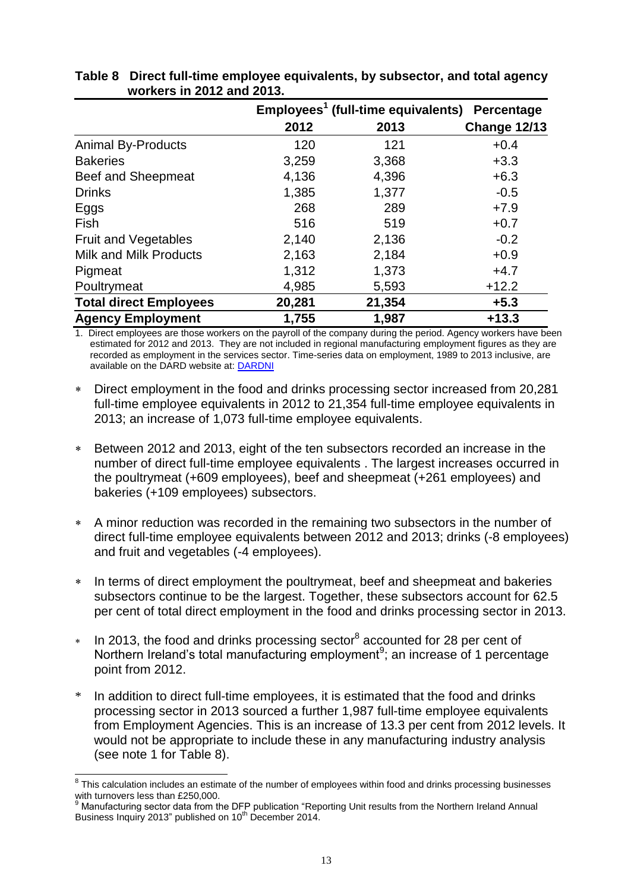|                               |        | Employees <sup>1</sup> (full-time equivalents) | Percentage          |
|-------------------------------|--------|------------------------------------------------|---------------------|
|                               | 2012   | 2013                                           | <b>Change 12/13</b> |
| <b>Animal By-Products</b>     | 120    | 121                                            | $+0.4$              |
| <b>Bakeries</b>               | 3,259  | 3,368                                          | $+3.3$              |
| Beef and Sheepmeat            | 4,136  | 4,396                                          | $+6.3$              |
| <b>Drinks</b>                 | 1,385  | 1,377                                          | $-0.5$              |
| Eggs                          | 268    | 289                                            | $+7.9$              |
| Fish                          | 516    | 519                                            | $+0.7$              |
| <b>Fruit and Vegetables</b>   | 2,140  | 2,136                                          | $-0.2$              |
| <b>Milk and Milk Products</b> | 2,163  | 2,184                                          | $+0.9$              |
| Pigmeat                       | 1,312  | 1,373                                          | $+4.7$              |
| Poultrymeat                   | 4,985  | 5,593                                          | $+12.2$             |
| <b>Total direct Employees</b> | 20,281 | 21,354                                         | $+5.3$              |
| <b>Agency Employment</b>      | 1,755  | 1,987                                          | $+13.3$             |

| Table 8 Direct full-time employee equivalents, by subsector, and total agency |
|-------------------------------------------------------------------------------|
| workers in 2012 and 2013.                                                     |

1. Direct employees are those workers on the payroll of the company during the period. Agency workers have been estimated for 2012 and 2013. They are not included in regional manufacturing employment figures as they are recorded as employment in the services sector. Time-series data on employment, 1989 to 2013 inclusive, are available on the DARD website at: [DARDNI](http://www.dardni.gov.uk/index/statistics/statistical-reports/size-and-performance-of-the-ni-food-and-drinks-processing-sector.htm)

- Direct employment in the food and drinks processing sector increased from 20,281 full-time employee equivalents in 2012 to 21,354 full-time employee equivalents in 2013; an increase of 1,073 full-time employee equivalents.
- Between 2012 and 2013, eight of the ten subsectors recorded an increase in the number of direct full-time employee equivalents . The largest increases occurred in the poultrymeat (+609 employees), beef and sheepmeat (+261 employees) and bakeries (+109 employees) subsectors.
- A minor reduction was recorded in the remaining two subsectors in the number of direct full-time employee equivalents between 2012 and 2013; drinks (-8 employees) and fruit and vegetables (-4 employees).
- In terms of direct employment the poultrymeat, beef and sheepmeat and bakeries subsectors continue to be the largest. Together, these subsectors account for 62.5 per cent of total direct employment in the food and drinks processing sector in 2013.
- $*$  In 2013, the food and drinks processing sector<sup>8</sup> accounted for 28 per cent of Northern Ireland's total manufacturing employment<sup>9</sup>; an increase of 1 percentage point from 2012.
- In addition to direct full-time employees, it is estimated that the food and drinks processing sector in 2013 sourced a further 1,987 full-time employee equivalents from Employment Agencies. This is an increase of 13.3 per cent from 2012 levels. It would not be appropriate to include these in any manufacturing industry analysis (see note 1 for Table 8).

 8 This calculation includes an estimate of the number of employees within food and drinks processing businesses with turnovers less than £250,000.

<sup>&</sup>lt;sup>9</sup> Manufacturing sector data from the DFP publication "Reporting Unit results from the Northern Ireland Annual Business Inquiry 2013" published on 10<sup>th</sup> December 2014.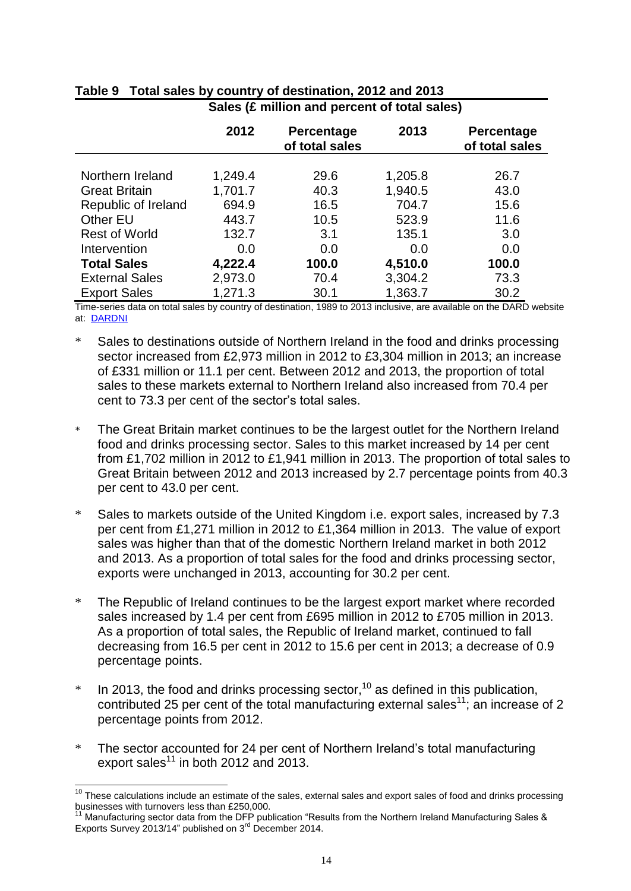|                       | 2012    | Percentage<br>of total sales | 2013    | Percentage<br>of total sales |
|-----------------------|---------|------------------------------|---------|------------------------------|
|                       |         |                              |         |                              |
| Northern Ireland      | 1,249.4 | 29.6                         | 1,205.8 | 26.7                         |
| <b>Great Britain</b>  | 1,701.7 | 40.3                         | 1,940.5 | 43.0                         |
| Republic of Ireland   | 694.9   | 16.5                         | 704.7   | 15.6                         |
| Other EU              | 443.7   | 10.5                         | 523.9   | 11.6                         |
| <b>Rest of World</b>  | 132.7   | 3.1                          | 135.1   | 3.0                          |
| Intervention          | 0.0     | 0.0                          | 0.0     | 0.0                          |
| <b>Total Sales</b>    | 4,222.4 | 100.0                        | 4,510.0 | 100.0                        |
| <b>External Sales</b> | 2,973.0 | 70.4                         | 3,304.2 | 73.3                         |
| <b>Export Sales</b>   | 1,271.3 | 30.1                         | 1,363.7 | 30.2                         |

#### **Table 9 Total sales by country of destination, 2012 and 2013 Sales (£ million and percent of total sales)**

Time-series data on total sales by country of destination, 1989 to 2013 inclusive, are available on the DARD website at: [DARDNI](http://www.dardni.gov.uk/index/statistics/statistical-reports/size-and-performance-of-the-ni-food-and-drinks-processing-sector.htm)

- \* Sales to destinations outside of Northern Ireland in the food and drinks processing sector increased from £2,973 million in 2012 to £3,304 million in 2013; an increase of £331 million or 11.1 per cent. Between 2012 and 2013, the proportion of total sales to these markets external to Northern Ireland also increased from 70.4 per cent to 73.3 per cent of the sector's total sales.
- \* The Great Britain market continues to be the largest outlet for the Northern Ireland food and drinks processing sector. Sales to this market increased by 14 per cent from £1,702 million in 2012 to £1,941 million in 2013. The proportion of total sales to Great Britain between 2012 and 2013 increased by 2.7 percentage points from 40.3 per cent to 43.0 per cent.
- \* Sales to markets outside of the United Kingdom i.e. export sales, increased by 7.3 per cent from £1,271 million in 2012 to £1,364 million in 2013. The value of export sales was higher than that of the domestic Northern Ireland market in both 2012 and 2013. As a proportion of total sales for the food and drinks processing sector, exports were unchanged in 2013, accounting for 30.2 per cent.
- \* The Republic of Ireland continues to be the largest export market where recorded sales increased by 1.4 per cent from £695 million in 2012 to £705 million in 2013. As a proportion of total sales, the Republic of Ireland market, continued to fall decreasing from 16.5 per cent in 2012 to 15.6 per cent in 2013; a decrease of 0.9 percentage points.
- $*$  In 2013, the food and drinks processing sector,<sup>10</sup> as defined in this publication, contributed 25 per cent of the total manufacturing external sales<sup>11</sup>; an increase of 2 percentage points from 2012.
- \* The sector accounted for 24 per cent of Northern Ireland's total manufacturing export sales<sup>11</sup> in both 2012 and 2013.

 $\overline{a}$  $10$  These calculations include an estimate of the sales, external sales and export sales of food and drinks processing businesses with turnovers less than £250,000.

<sup>&</sup>lt;sup>11</sup> Manufacturing sector data from the DFP publication "Results from the Northern Ireland Manufacturing Sales & Exports Survey 2013/14" published on 3<sup>rd</sup> December 2014.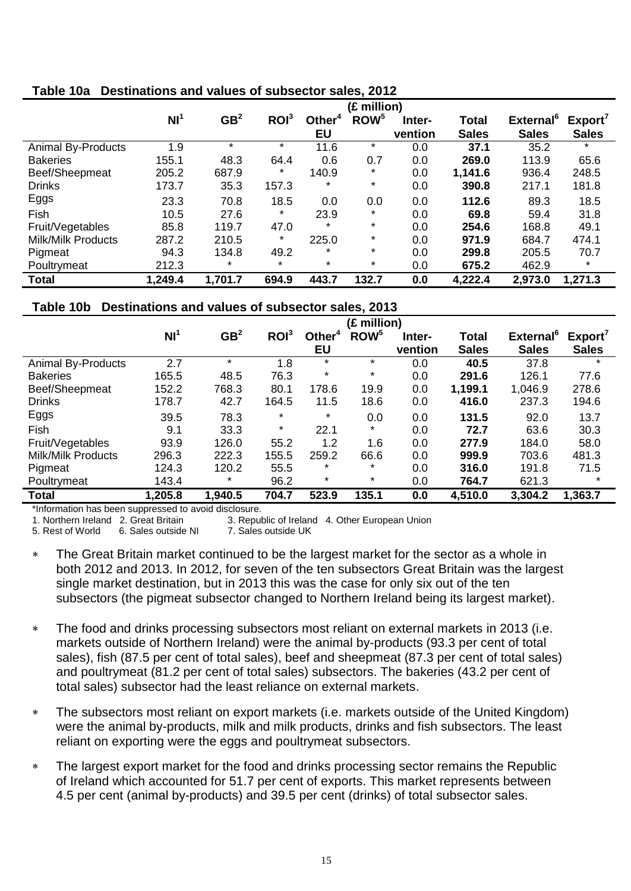|                           | (£ million)     |                 |                  |           |                  |         |              |                       |              |
|---------------------------|-----------------|-----------------|------------------|-----------|------------------|---------|--------------|-----------------------|--------------|
|                           | NI <sup>1</sup> | GB <sup>2</sup> | ROI <sup>3</sup> | Other $4$ | ROW <sup>5</sup> | Inter-  | <b>Total</b> | External <sup>6</sup> | Export'      |
|                           |                 |                 |                  | <b>EU</b> |                  | vention | <b>Sales</b> | <b>Sales</b>          | <b>Sales</b> |
| <b>Animal By-Products</b> | 1.9             | $\star$         | $\star$          | 11.6      | $\star$          | 0.0     | 37.1         | 35.2                  | $\star$      |
| <b>Bakeries</b>           | 155.1           | 48.3            | 64.4             | 0.6       | 0.7              | 0.0     | 269.0        | 113.9                 | 65.6         |
| Beef/Sheepmeat            | 205.2           | 687.9           | $\ast$           | 140.9     | *                | 0.0     | 1,141.6      | 936.4                 | 248.5        |
| <b>Drinks</b>             | 173.7           | 35.3            | 157.3            | $\ast$    | $\ast$           | 0.0     | 390.8        | 217.1                 | 181.8        |
| Eggs                      | 23.3            | 70.8            | 18.5             | 0.0       | 0.0              | 0.0     | 112.6        | 89.3                  | 18.5         |
| Fish                      | 10.5            | 27.6            | $\ast$           | 23.9      | *                | 0.0     | 69.8         | 59.4                  | 31.8         |
| Fruit/Vegetables          | 85.8            | 119.7           | 47.0             | $\star$   | $\ast$           | 0.0     | 254.6        | 168.8                 | 49.1         |
| <b>Milk/Milk Products</b> | 287.2           | 210.5           | $^\star$         | 225.0     | *                | 0.0     | 971.9        | 684.7                 | 474.1        |
| Pigmeat                   | 94.3            | 134.8           | 49.2             | $\ast$    | $\ast$           | 0.0     | 299.8        | 205.5                 | 70.7         |
| Poultrymeat               | 212.3           | $\star$         | $\star$          | $\star$   | *                | 0.0     | 675.2        | 462.9                 | $\star$      |
| <b>Total</b>              | 1,249.4         | 1,701.7         | 694.9            | 443.7     | 132.7            | 0.0     | 4,222.4      | 2,973.0               | 1,271.3      |

## **Table 10a Destinations and values of subsector sales, 2012**

## **Table 10b Destinations and values of subsector sales, 2013**

|                           | (£ million)     |                 |                  |                    |                  |         |              |                              |              |
|---------------------------|-----------------|-----------------|------------------|--------------------|------------------|---------|--------------|------------------------------|--------------|
|                           | NI <sup>1</sup> | GB <sup>2</sup> | ROI <sup>3</sup> | Other <sup>4</sup> | ROW <sup>5</sup> | Inter-  | <b>Total</b> | <b>External</b> <sup>6</sup> | Export'      |
|                           |                 |                 |                  | EU                 |                  | vention | <b>Sales</b> | <b>Sales</b>                 | <b>Sales</b> |
| <b>Animal By-Products</b> | 2.7             | $\star$         | 1.8              | $\star$            | $\star$          | 0.0     | 40.5         | 37.8                         | $\ast$       |
| <b>Bakeries</b>           | 165.5           | 48.5            | 76.3             | $\star$            | $^\star$         | 0.0     | 291.6        | 126.1                        | 77.6         |
| Beef/Sheepmeat            | 152.2           | 768.3           | 80.1             | 178.6              | 19.9             | 0.0     | 1,199.1      | 1,046.9                      | 278.6        |
| <b>Drinks</b>             | 178.7           | 42.7            | 164.5            | 11.5               | 18.6             | 0.0     | 416.0        | 237.3                        | 194.6        |
| Eggs                      | 39.5            | 78.3            | $\star$          | $\ast$             | 0.0              | 0.0     | 131.5        | 92.0                         | 13.7         |
| Fish                      | 9.1             | 33.3            | $\star$          | 22.1               | $\ast$           | 0.0     | 72.7         | 63.6                         | 30.3         |
| Fruit/Vegetables          | 93.9            | 126.0           | 55.2             | 1.2                | 1.6              | 0.0     | 277.9        | 184.0                        | 58.0         |
| Milk/Milk Products        | 296.3           | 222.3           | 155.5            | 259.2              | 66.6             | 0.0     | 999.9        | 703.6                        | 481.3        |
| Pigmeat                   | 124.3           | 120.2           | 55.5             | $\ast$             | $\ast$           | 0.0     | 316.0        | 191.8                        | 71.5         |
| Poultrymeat               | 143.4           | *               | 96.2             | $\star$            | $\ast$           | 0.0     | 764.7        | 621.3                        | $\star$      |
| <b>Total</b>              | 1,205.8         | 1,940.5         | 704.7            | 523.9              | 135.1            | 0.0     | 4,510.0      | 3,304.2                      | 1,363.7      |

\*Information has been suppressed to avoid disclosure.

1. Northern Ireland 2. Great Britain 3. Republic of Ireland 4. Other European Union

5. Rest of World 6. Sales outside NI 7. Sales outside UK

 The Great Britain market continued to be the largest market for the sector as a whole in both 2012 and 2013. In 2012, for seven of the ten subsectors Great Britain was the largest single market destination, but in 2013 this was the case for only six out of the ten subsectors (the pigmeat subsector changed to Northern Ireland being its largest market).

- The food and drinks processing subsectors most reliant on external markets in 2013 (i.e. markets outside of Northern Ireland) were the animal by-products (93.3 per cent of total sales), fish (87.5 per cent of total sales), beef and sheepmeat (87.3 per cent of total sales) and poultrymeat (81.2 per cent of total sales) subsectors. The bakeries (43.2 per cent of total sales) subsector had the least reliance on external markets.
- The subsectors most reliant on export markets (i.e. markets outside of the United Kingdom) were the animal by-products, milk and milk products, drinks and fish subsectors. The least reliant on exporting were the eggs and poultrymeat subsectors.
- The largest export market for the food and drinks processing sector remains the Republic of Ireland which accounted for 51.7 per cent of exports. This market represents between 4.5 per cent (animal by-products) and 39.5 per cent (drinks) of total subsector sales.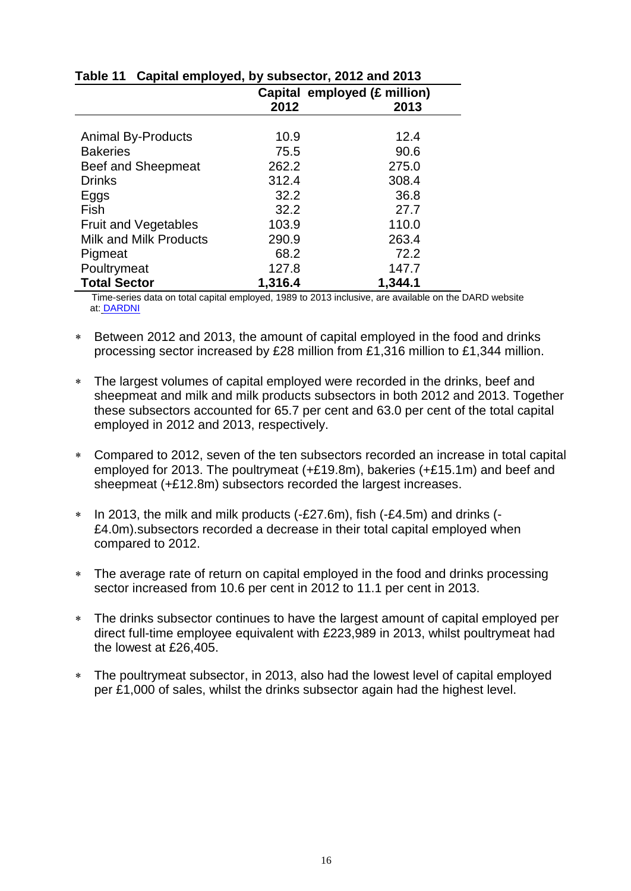|                               |         | Capital employed (£ million) |
|-------------------------------|---------|------------------------------|
|                               | 2012    | 2013                         |
|                               |         |                              |
| <b>Animal By-Products</b>     | 10.9    | 12.4                         |
| <b>Bakeries</b>               | 75.5    | 90.6                         |
| Beef and Sheepmeat            | 262.2   | 275.0                        |
| <b>Drinks</b>                 | 312.4   | 308.4                        |
| Eggs                          | 32.2    | 36.8                         |
| Fish                          | 32.2    | 27.7                         |
| <b>Fruit and Vegetables</b>   | 103.9   | 110.0                        |
| <b>Milk and Milk Products</b> | 290.9   | 263.4                        |
| Pigmeat                       | 68.2    | 72.2                         |
| Poultrymeat                   | 127.8   | 147.7                        |
| <b>Total Sector</b>           | 1,316.4 | 1,344.1                      |

## **Table 11 Capital employed, by subsector, 2012 and 2013**

 Time-series data on total capital employed, 1989 to 2013 inclusive, are available on the DARD website at: [DARDNI](http://www.dardni.gov.uk/index/statistics/statistical-reports/size-and-performance-of-the-ni-food-and-drinks-processing-sector.htm)

- Between 2012 and 2013, the amount of capital employed in the food and drinks processing sector increased by £28 million from £1,316 million to £1,344 million.
- The largest volumes of capital employed were recorded in the drinks, beef and sheepmeat and milk and milk products subsectors in both 2012 and 2013. Together these subsectors accounted for 65.7 per cent and 63.0 per cent of the total capital employed in 2012 and 2013, respectively.
- Compared to 2012, seven of the ten subsectors recorded an increase in total capital employed for 2013. The poultrymeat (+£19.8m), bakeries (+£15.1m) and beef and sheepmeat (+£12.8m) subsectors recorded the largest increases.
- \* In 2013, the milk and milk products (-£27.6m), fish (-£4.5m) and drinks (-£4.0m).subsectors recorded a decrease in their total capital employed when compared to 2012.
- The average rate of return on capital employed in the food and drinks processing sector increased from 10.6 per cent in 2012 to 11.1 per cent in 2013.
- The drinks subsector continues to have the largest amount of capital employed per direct full-time employee equivalent with £223,989 in 2013, whilst poultrymeat had the lowest at £26,405.
- The poultrymeat subsector, in 2013, also had the lowest level of capital employed per £1,000 of sales, whilst the drinks subsector again had the highest level.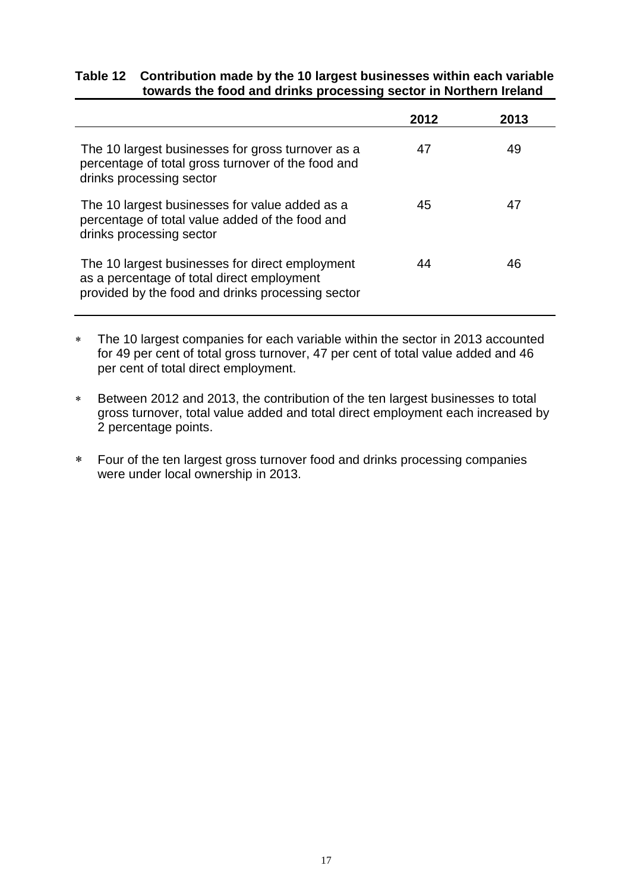#### **Table 12 Contribution made by the 10 largest businesses within each variable towards the food and drinks processing sector in Northern Ireland**

|                                                                                                                                                    | 2012 | 2013 |
|----------------------------------------------------------------------------------------------------------------------------------------------------|------|------|
| The 10 largest businesses for gross turnover as a<br>percentage of total gross turnover of the food and<br>drinks processing sector                | 47   | 49   |
| The 10 largest businesses for value added as a<br>percentage of total value added of the food and<br>drinks processing sector                      | 45   | 47   |
| The 10 largest businesses for direct employment<br>as a percentage of total direct employment<br>provided by the food and drinks processing sector | 44   | 46   |

- The 10 largest companies for each variable within the sector in 2013 accounted for 49 per cent of total gross turnover, 47 per cent of total value added and 46 per cent of total direct employment.
- Between 2012 and 2013, the contribution of the ten largest businesses to total gross turnover, total value added and total direct employment each increased by 2 percentage points.
- Four of the ten largest gross turnover food and drinks processing companies were under local ownership in 2013.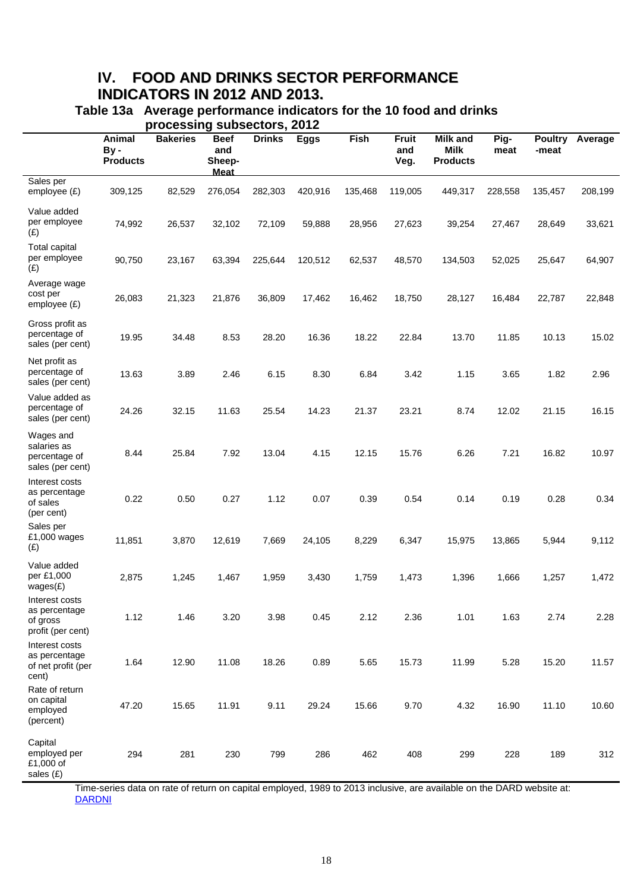# **IV. FOOD AND DRINKS SECTOR PERFORMANCE INDICATORS IN 2012 AND 2013.**

| Table 13a Average performance indicators for the 10 food and drinks |
|---------------------------------------------------------------------|
| processing subsectors, 2012                                         |

|                                                                  | Animal<br>By-<br><b>Products</b> | <b>Bakeries</b> | <b>Beef</b><br>and<br>Sheep-<br><b>Meat</b> | <b>Drinks</b> | <b>Eggs</b> | Fish    | <b>Fruit</b><br>and<br>Veg. | <b>Milk and</b><br><b>Milk</b><br><b>Products</b> | Pig-<br>meat | <b>Poultry</b><br>-meat | Average |
|------------------------------------------------------------------|----------------------------------|-----------------|---------------------------------------------|---------------|-------------|---------|-----------------------------|---------------------------------------------------|--------------|-------------------------|---------|
| Sales per<br>employee $(E)$                                      | 309,125                          | 82,529          | 276,054                                     | 282,303       | 420,916     | 135,468 | 119,005                     | 449,317                                           | 228,558      | 135,457                 | 208,199 |
| Value added<br>per employee<br>(E)                               | 74,992                           | 26,537          | 32,102                                      | 72,109        | 59,888      | 28,956  | 27,623                      | 39,254                                            | 27,467       | 28,649                  | 33,621  |
| <b>Total capital</b><br>per employee<br>(E)                      | 90,750                           | 23,167          | 63,394                                      | 225,644       | 120,512     | 62,537  | 48,570                      | 134,503                                           | 52,025       | 25,647                  | 64,907  |
| Average wage<br>cost per<br>employee $(E)$                       | 26,083                           | 21,323          | 21,876                                      | 36,809        | 17,462      | 16,462  | 18,750                      | 28,127                                            | 16,484       | 22,787                  | 22,848  |
| Gross profit as<br>percentage of<br>sales (per cent)             | 19.95                            | 34.48           | 8.53                                        | 28.20         | 16.36       | 18.22   | 22.84                       | 13.70                                             | 11.85        | 10.13                   | 15.02   |
| Net profit as<br>percentage of<br>sales (per cent)               | 13.63                            | 3.89            | 2.46                                        | 6.15          | 8.30        | 6.84    | 3.42                        | 1.15                                              | 3.65         | 1.82                    | 2.96    |
| Value added as<br>percentage of<br>sales (per cent)              | 24.26                            | 32.15           | 11.63                                       | 25.54         | 14.23       | 21.37   | 23.21                       | 8.74                                              | 12.02        | 21.15                   | 16.15   |
| Wages and<br>salaries as<br>percentage of<br>sales (per cent)    | 8.44                             | 25.84           | 7.92                                        | 13.04         | 4.15        | 12.15   | 15.76                       | 6.26                                              | 7.21         | 16.82                   | 10.97   |
| Interest costs<br>as percentage<br>of sales<br>(per cent)        | 0.22                             | 0.50            | 0.27                                        | 1.12          | 0.07        | 0.39    | 0.54                        | 0.14                                              | 0.19         | 0.28                    | 0.34    |
| Sales per<br>£1,000 wages<br>(E)                                 | 11,851                           | 3,870           | 12,619                                      | 7,669         | 24,105      | 8,229   | 6,347                       | 15,975                                            | 13,865       | 5,944                   | 9,112   |
| Value added<br>per £1,000<br>wages(E)                            | 2,875                            | 1,245           | 1,467                                       | 1,959         | 3,430       | 1,759   | 1,473                       | 1,396                                             | 1,666        | 1,257                   | 1,472   |
| Interest costs<br>as percentage<br>of gross<br>profit (per cent) | 1.12                             | 1.46            | 3.20                                        | 3.98          | 0.45        | 2.12    | 2.36                        | 1.01                                              | 1.63         | 2.74                    | 2.28    |
| Interest costs<br>as percentage<br>of net profit (per<br>cent)   | 1.64                             | 12.90           | 11.08                                       | 18.26         | 0.89        | 5.65    | 15.73                       | 11.99                                             | 5.28         | 15.20                   | 11.57   |
| Rate of return<br>on capital<br>employed<br>(percent)            | 47.20                            | 15.65           | 11.91                                       | 9.11          | 29.24       | 15.66   | 9.70                        | 4.32                                              | 16.90        | 11.10                   | 10.60   |
| Capital<br>employed per<br>£1,000 of<br>sales (£)                | 294                              | 281             | 230                                         | 799           | 286         | 462     | 408                         | 299                                               | 228          | 189                     | 312     |

Time-series data on rate of return on capital employed, 1989 to 2013 inclusive, are available on the DARD website at: **[DARDNI](http://www.dardni.gov.uk/index/statistics/statistical-reports/size-and-performance-of-the-ni-food-and-drinks-processing-sector.htm)**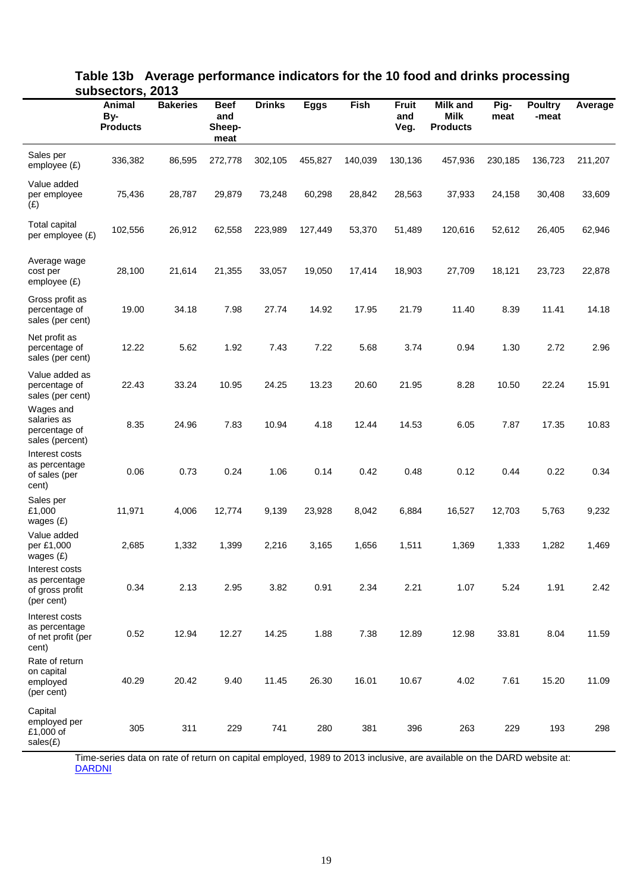|                                                                  | <b>Animal</b><br>By-<br><b>Products</b> | <b>Bakeries</b> | <b>Beef</b><br>and<br>Sheep-<br>meat | <b>Drinks</b> | <b>Eggs</b> | Fish    | <b>Fruit</b><br>and<br>Veg. | <b>Milk and</b><br><b>Milk</b><br><b>Products</b> | Pig-<br>meat | <b>Poultry</b><br>-meat | Average |
|------------------------------------------------------------------|-----------------------------------------|-----------------|--------------------------------------|---------------|-------------|---------|-----------------------------|---------------------------------------------------|--------------|-------------------------|---------|
| Sales per<br>employee $(E)$                                      | 336,382                                 | 86,595          | 272,778                              | 302,105       | 455,827     | 140,039 | 130,136                     | 457,936                                           | 230,185      | 136,723                 | 211,207 |
| Value added<br>per employee<br>(E)                               | 75,436                                  | 28,787          | 29,879                               | 73,248        | 60,298      | 28,842  | 28,563                      | 37,933                                            | 24,158       | 30,408                  | 33,609  |
| <b>Total capital</b><br>per employee (£)                         | 102,556                                 | 26,912          | 62,558                               | 223,989       | 127,449     | 53,370  | 51,489                      | 120,616                                           | 52,612       | 26,405                  | 62,946  |
| Average wage<br>cost per<br>employee $(E)$                       | 28,100                                  | 21,614          | 21,355                               | 33,057        | 19,050      | 17,414  | 18,903                      | 27,709                                            | 18,121       | 23,723                  | 22,878  |
| Gross profit as<br>percentage of<br>sales (per cent)             | 19.00                                   | 34.18           | 7.98                                 | 27.74         | 14.92       | 17.95   | 21.79                       | 11.40                                             | 8.39         | 11.41                   | 14.18   |
| Net profit as<br>percentage of<br>sales (per cent)               | 12.22                                   | 5.62            | 1.92                                 | 7.43          | 7.22        | 5.68    | 3.74                        | 0.94                                              | 1.30         | 2.72                    | 2.96    |
| Value added as<br>percentage of<br>sales (per cent)              | 22.43                                   | 33.24           | 10.95                                | 24.25         | 13.23       | 20.60   | 21.95                       | 8.28                                              | 10.50        | 22.24                   | 15.91   |
| Wages and<br>salaries as<br>percentage of<br>sales (percent)     | 8.35                                    | 24.96           | 7.83                                 | 10.94         | 4.18        | 12.44   | 14.53                       | 6.05                                              | 7.87         | 17.35                   | 10.83   |
| Interest costs<br>as percentage<br>of sales (per<br>cent)        | 0.06                                    | 0.73            | 0.24                                 | 1.06          | 0.14        | 0.42    | 0.48                        | 0.12                                              | 0.44         | 0.22                    | 0.34    |
| Sales per<br>£1,000<br>wages $(E)$                               | 11,971                                  | 4,006           | 12,774                               | 9,139         | 23,928      | 8,042   | 6,884                       | 16,527                                            | 12,703       | 5,763                   | 9,232   |
| Value added<br>per £1,000<br>wages $(E)$                         | 2,685                                   | 1,332           | 1,399                                | 2,216         | 3,165       | 1,656   | 1,511                       | 1,369                                             | 1,333        | 1,282                   | 1,469   |
| Interest costs<br>as percentage<br>of gross profit<br>(per cent) | 0.34                                    | 2.13            | 2.95                                 | 3.82          | 0.91        | 2.34    | 2.21                        | 1.07                                              | 5.24         | 1.91                    | 2.42    |
| Interest costs<br>as percentage<br>of net profit (per<br>cent)   | 0.52                                    | 12.94           | 12.27                                | 14.25         | 1.88        | 7.38    | 12.89                       | 12.98                                             | 33.81        | 8.04                    | 11.59   |
| Rate of return<br>on capital<br>employed<br>(per cent)           | 40.29                                   | 20.42           | 9.40                                 | 11.45         | 26.30       | 16.01   | 10.67                       | 4.02                                              | 7.61         | 15.20                   | 11.09   |
| Capital<br>employed per<br>£1,000 of<br>sales(E)                 | 305                                     | 311             | 229                                  | 741           | 280         | 381     | 396                         | 263                                               | 229          | 193                     | 298     |

#### **Table 13b Average performance indicators for the 10 food and drinks processing subsectors, 2013**

Time-series data on rate of return on capital employed, 1989 to 2013 inclusive, are available on the DARD website at: **[DARDNI](http://www.dardni.gov.uk/index/statistics/statistical-reports/size-and-performance-of-the-ni-food-and-drinks-processing-sector.htm)**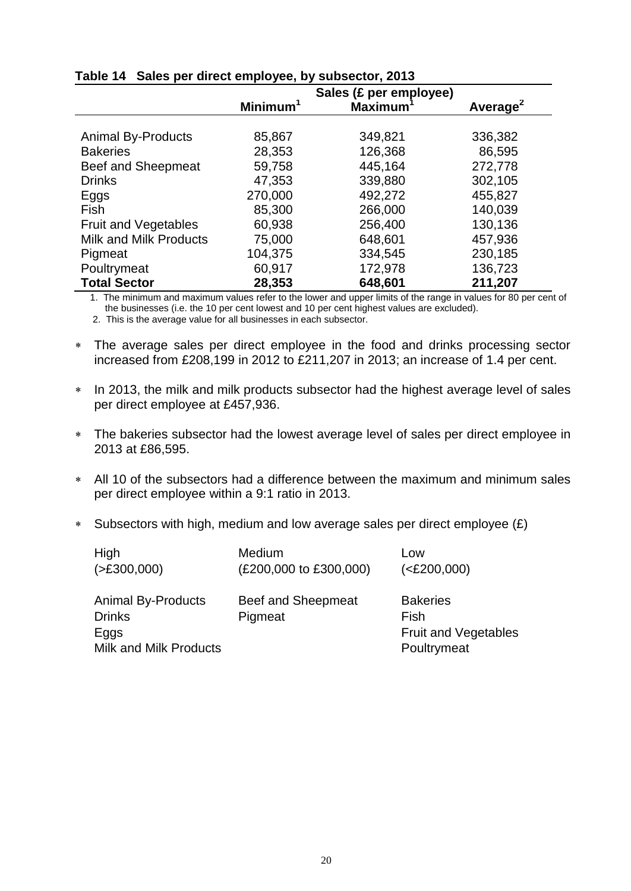|                               |                      | Sales (£ per employee) |                      |
|-------------------------------|----------------------|------------------------|----------------------|
|                               | Minimum <sup>1</sup> | <b>Maximum</b>         | Average <sup>2</sup> |
|                               |                      |                        |                      |
| <b>Animal By-Products</b>     | 85,867               | 349,821                | 336,382              |
| <b>Bakeries</b>               | 28,353               | 126,368                | 86,595               |
| Beef and Sheepmeat            | 59,758               | 445,164                | 272,778              |
| <b>Drinks</b>                 | 47,353               | 339,880                | 302,105              |
| Eggs                          | 270,000              | 492,272                | 455,827              |
| <b>Fish</b>                   | 85,300               | 266,000                | 140,039              |
| <b>Fruit and Vegetables</b>   | 60,938               | 256,400                | 130,136              |
| <b>Milk and Milk Products</b> | 75,000               | 648,601                | 457,936              |
| Pigmeat                       | 104,375              | 334,545                | 230,185              |
| Poultrymeat                   | 60,917               | 172,978                | 136,723              |
| <b>Total Sector</b>           | 28,353               | 648,601                | 211,207              |

## **Table 14 Sales per direct employee, by subsector, 2013**

1. The minimum and maximum values refer to the lower and upper limits of the range in values for 80 per cent of the businesses (i.e. the 10 per cent lowest and 10 per cent highest values are excluded).

- The average sales per direct employee in the food and drinks processing sector increased from £208,199 in 2012 to £211,207 in 2013; an increase of 1.4 per cent.
- \* In 2013, the milk and milk products subsector had the highest average level of sales per direct employee at £457,936.
- The bakeries subsector had the lowest average level of sales per direct employee in 2013 at £86,595.
- All 10 of the subsectors had a difference between the maximum and minimum sales per direct employee within a 9:1 ratio in 2013.
- Subsectors with high, medium and low average sales per direct employee  $(E)$

| High                                                                         | Medium                        | Low                                                                   |
|------------------------------------------------------------------------------|-------------------------------|-----------------------------------------------------------------------|
| ( > £300,000)                                                                | (£200,000 to £300,000)        | ( <b>E200,000</b> )                                                   |
| <b>Animal By-Products</b><br><b>Drinks</b><br>Eggs<br>Milk and Milk Products | Beef and Sheepmeat<br>Pigmeat | <b>Bakeries</b><br>Fish<br><b>Fruit and Vegetables</b><br>Poultrymeat |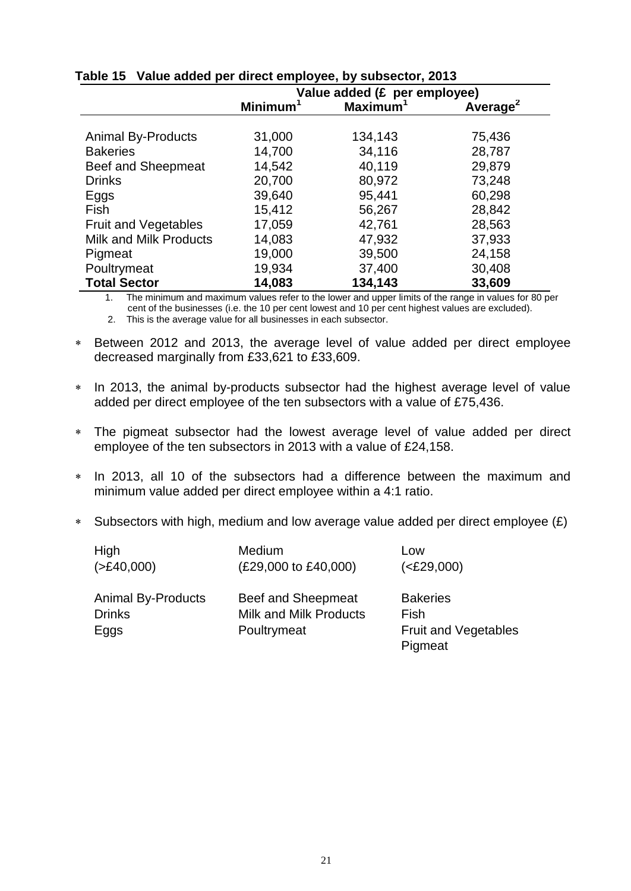|                               | Value added (£ per employee) |                      |                      |
|-------------------------------|------------------------------|----------------------|----------------------|
|                               | Minimum                      | Maximum <sup>1</sup> | Average <sup>2</sup> |
|                               |                              |                      |                      |
| <b>Animal By-Products</b>     | 31,000                       | 134,143              | 75,436               |
| <b>Bakeries</b>               | 14,700                       | 34,116               | 28,787               |
| Beef and Sheepmeat            | 14,542                       | 40,119               | 29,879               |
| <b>Drinks</b>                 | 20,700                       | 80,972               | 73,248               |
| Eggs                          | 39,640                       | 95,441               | 60,298               |
| Fish                          | 15,412                       | 56,267               | 28,842               |
| <b>Fruit and Vegetables</b>   | 17,059                       | 42,761               | 28,563               |
| <b>Milk and Milk Products</b> | 14,083                       | 47,932               | 37,933               |
| Pigmeat                       | 19,000                       | 39,500               | 24,158               |
| Poultrymeat                   | 19,934                       | 37,400               | 30,408               |
| <b>Total Sector</b>           | 14,083                       | 134,143              | 33,609               |

# **Table 15 Value added per direct employee, by subsector, 2013**

1. The minimum and maximum values refer to the lower and upper limits of the range in values for 80 per cent of the businesses (i.e. the 10 per cent lowest and 10 per cent highest values are excluded).

- Between 2012 and 2013, the average level of value added per direct employee decreased marginally from £33,621 to £33,609.
- \* In 2013, the animal by-products subsector had the highest average level of value added per direct employee of the ten subsectors with a value of £75,436.
- The pigmeat subsector had the lowest average level of value added per direct employee of the ten subsectors in 2013 with a value of £24,158.
- In 2013, all 10 of the subsectors had a difference between the maximum and minimum value added per direct employee within a 4:1 ratio.
- Subsectors with high, medium and low average value added per direct employee  $(E)$

| High                                               | Medium                                                             | Low                                                               |
|----------------------------------------------------|--------------------------------------------------------------------|-------------------------------------------------------------------|
| ( > £40,000)                                       | (£29,000 to £40,000)                                               | ( <b>E29,000</b> )                                                |
| <b>Animal By-Products</b><br><b>Drinks</b><br>Eggs | Beef and Sheepmeat<br><b>Milk and Milk Products</b><br>Poultrymeat | <b>Bakeries</b><br>Fish<br><b>Fruit and Vegetables</b><br>Pigmeat |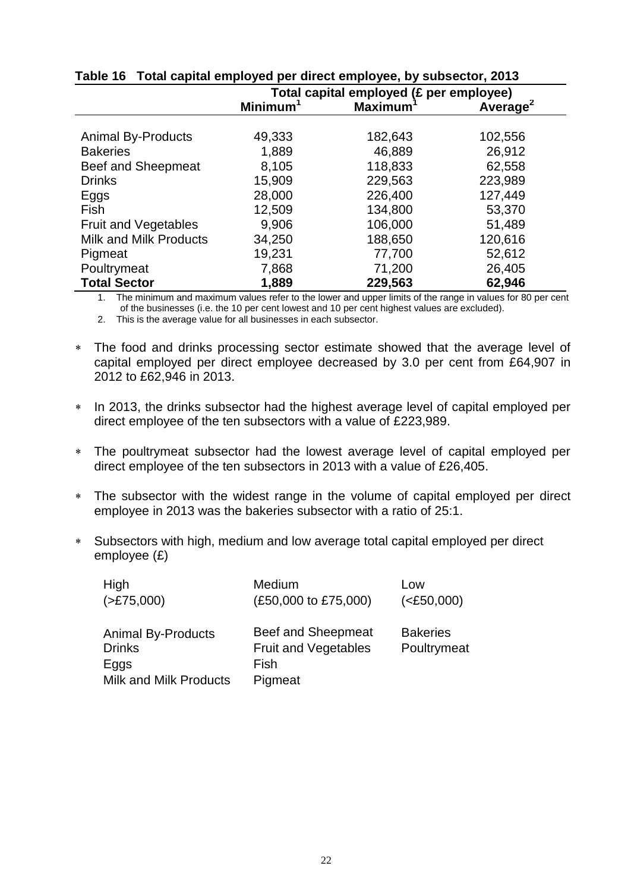|                             | Total capital employed (£ per employee) |                |                      |
|-----------------------------|-----------------------------------------|----------------|----------------------|
|                             | Minimum <sup>1</sup>                    | <b>Maximum</b> | Average <sup>2</sup> |
|                             |                                         |                |                      |
| <b>Animal By-Products</b>   | 49,333                                  | 182,643        | 102,556              |
| <b>Bakeries</b>             | 1,889                                   | 46,889         | 26,912               |
| Beef and Sheepmeat          | 8,105                                   | 118,833        | 62,558               |
| <b>Drinks</b>               | 15,909                                  | 229,563        | 223,989              |
| Eggs                        | 28,000                                  | 226,400        | 127,449              |
| Fish                        | 12,509                                  | 134,800        | 53,370               |
| <b>Fruit and Vegetables</b> | 9,906                                   | 106,000        | 51,489               |
| Milk and Milk Products      | 34,250                                  | 188,650        | 120,616              |
| Pigmeat                     | 19,231                                  | 77,700         | 52,612               |
| Poultrymeat                 | 7,868                                   | 71,200         | 26,405               |
| <b>Total Sector</b>         | 1,889                                   | 229,563        | 62,946               |

# **Table 16 Total capital employed per direct employee, by subsector, 2013**

1. The minimum and maximum values refer to the lower and upper limits of the range in values for 80 per cent of the businesses (i.e. the 10 per cent lowest and 10 per cent highest values are excluded).

- The food and drinks processing sector estimate showed that the average level of capital employed per direct employee decreased by 3.0 per cent from £64,907 in 2012 to £62,946 in 2013.
- \* In 2013, the drinks subsector had the highest average level of capital employed per direct employee of the ten subsectors with a value of £223,989.
- The poultrymeat subsector had the lowest average level of capital employed per direct employee of the ten subsectors in 2013 with a value of £26,405.
- The subsector with the widest range in the volume of capital employed per direct employee in 2013 was the bakeries subsector with a ratio of 25:1.
- Subsectors with high, medium and low average total capital employed per direct employee (£)

| High                          | Medium                      | Low                |
|-------------------------------|-----------------------------|--------------------|
| ( >E75,000)                   | (£50,000 to £75,000)        | ( <b>E</b> 50,000) |
| <b>Animal By-Products</b>     | Beef and Sheepmeat          | <b>Bakeries</b>    |
| <b>Drinks</b>                 | <b>Fruit and Vegetables</b> | Poultrymeat        |
| Eggs                          | Fish                        |                    |
| <b>Milk and Milk Products</b> | Pigmeat                     |                    |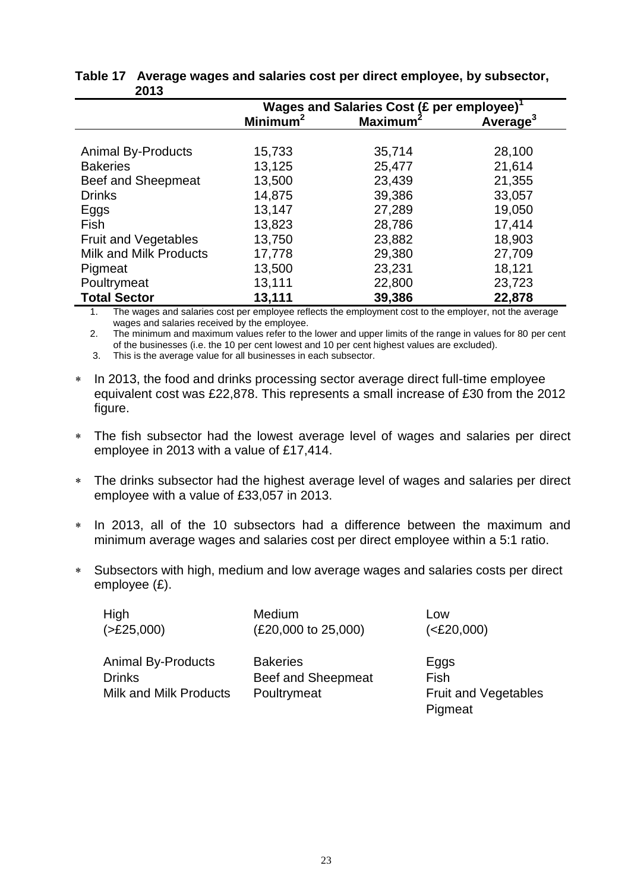|                               | Wages and Salaries Cost (£ per employee) <sup>1</sup> |                      |                      |
|-------------------------------|-------------------------------------------------------|----------------------|----------------------|
|                               | Minimum <sup>2</sup>                                  | Maximum <sup>2</sup> | Average <sup>3</sup> |
|                               |                                                       |                      |                      |
| <b>Animal By-Products</b>     | 15,733                                                | 35,714               | 28,100               |
| <b>Bakeries</b>               | 13,125                                                | 25,477               | 21,614               |
| Beef and Sheepmeat            | 13,500                                                | 23,439               | 21,355               |
| <b>Drinks</b>                 | 14,875                                                | 39,386               | 33,057               |
| Eggs                          | 13,147                                                | 27,289               | 19,050               |
| Fish                          | 13,823                                                | 28,786               | 17,414               |
| Fruit and Vegetables          | 13,750                                                | 23,882               | 18,903               |
| <b>Milk and Milk Products</b> | 17,778                                                | 29,380               | 27,709               |
| Pigmeat                       | 13,500                                                | 23,231               | 18,121               |
| Poultrymeat                   | 13,111                                                | 22,800               | 23,723               |
| <b>Total Sector</b>           | 13,111                                                | 39,386               | 22,878               |

#### **Table 17 Average wages and salaries cost per direct employee, by subsector, 2013**

1. The wages and salaries cost per employee reflects the employment cost to the employer, not the average wages and salaries received by the employee.

2. The minimum and maximum values refer to the lower and upper limits of the range in values for 80 per cent of the businesses (i.e. the 10 per cent lowest and 10 per cent highest values are excluded).

3. This is the average value for all businesses in each subsector.

- \* In 2013, the food and drinks processing sector average direct full-time employee equivalent cost was £22,878. This represents a small increase of £30 from the 2012 figure.
- The fish subsector had the lowest average level of wages and salaries per direct employee in 2013 with a value of £17,414.
- The drinks subsector had the highest average level of wages and salaries per direct employee with a value of £33,057 in 2013.
- In 2013, all of the 10 subsectors had a difference between the maximum and minimum average wages and salaries cost per direct employee within a 5:1 ratio.
- Subsectors with high, medium and low average wages and salaries costs per direct employee (£).

| High                      | Medium              | Low   |
|---------------------------|---------------------|-------|
| ( >E25,000)               | (£20,000 to 25,000) | (<£2) |
| <b>Animal By-Products</b> | <b>Bakeries</b>     | Eggs  |
| <b>Drinks</b>             | Beef and Sheepmeat  | Fish  |
| Milk and Milk Products    | Poultrymeat         | Fruit |

 $( $E20,000$ )$ 

Fruit and Vegetables Pigmeat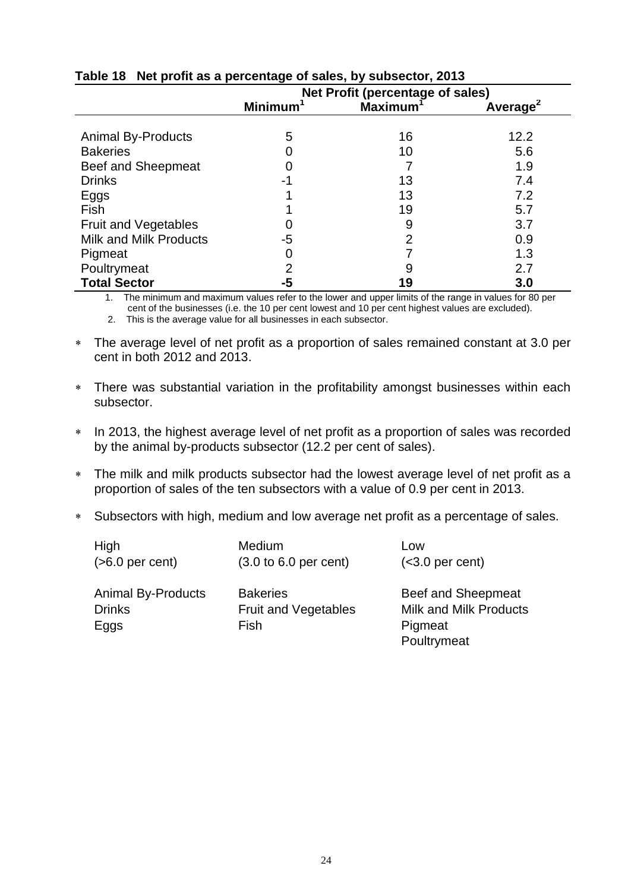|                             | --<br>Net Profit (percentage of sales) |                |                      |
|-----------------------------|----------------------------------------|----------------|----------------------|
|                             | <b>Minimum</b>                         | <b>Maximum</b> | Average <sup>2</sup> |
|                             |                                        |                |                      |
| <b>Animal By-Products</b>   | 5                                      | 16             | 12.2                 |
| <b>Bakeries</b>             |                                        | 10             | 5.6                  |
| Beef and Sheepmeat          |                                        |                | 1.9                  |
| <b>Drinks</b>               | -1                                     | 13             | 7.4                  |
| Eggs                        |                                        | 13             | 7.2                  |
| Fish                        |                                        | 19             | 5.7                  |
| <b>Fruit and Vegetables</b> |                                        | 9              | 3.7                  |
| Milk and Milk Products      | -5                                     | 2              | 0.9                  |
| Pigmeat                     | 0                                      |                | 1.3                  |
| Poultrymeat                 | $\overline{2}$                         |                | 2.7                  |
| <b>Total Sector</b>         | -5                                     | 19             | 3.0                  |

# **Table 18 Net profit as a percentage of sales, by subsector, 2013**

1. The minimum and maximum values refer to the lower and upper limits of the range in values for 80 per cent of the businesses (i.e. the 10 per cent lowest and 10 per cent highest values are excluded).

- The average level of net profit as a proportion of sales remained constant at 3.0 per cent in both 2012 and 2013.
- There was substantial variation in the profitability amongst businesses within each subsector.
- \* In 2013, the highest average level of net profit as a proportion of sales was recorded by the animal by-products subsector (12.2 per cent of sales).
- The milk and milk products subsector had the lowest average level of net profit as a proportion of sales of the ten subsectors with a value of 0.9 per cent in 2013.
- Subsectors with high, medium and low average net profit as a percentage of sales.

| High                                               | Medium                                                 | Low                                                                           |
|----------------------------------------------------|--------------------------------------------------------|-------------------------------------------------------------------------------|
| $(>6.0$ per cent)                                  | $(3.0 \text{ to } 6.0 \text{ per cent})$               | $(3.0 per cent)$                                                              |
| <b>Animal By-Products</b><br><b>Drinks</b><br>Eggs | <b>Bakeries</b><br><b>Fruit and Vegetables</b><br>Fish | Beef and Sheepmeat<br><b>Milk and Milk Products</b><br>Pigmeat<br>Poultrymeat |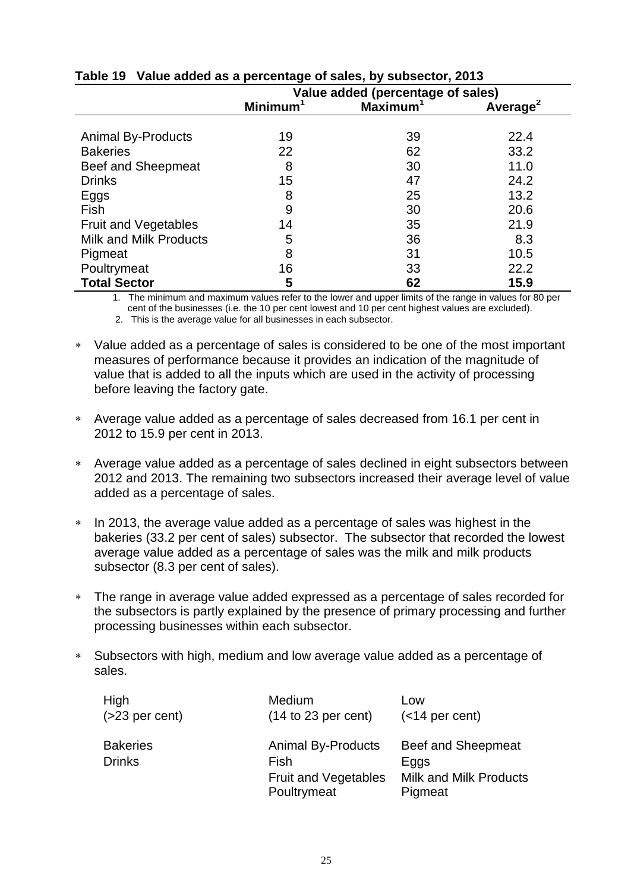|                               | Value added (percentage of sales) |                      |                      |
|-------------------------------|-----------------------------------|----------------------|----------------------|
|                               | <b>Minimum</b>                    | Maximum <sup>1</sup> | Average <sup>2</sup> |
|                               |                                   |                      |                      |
| <b>Animal By-Products</b>     | 19                                | 39                   | 22.4                 |
| <b>Bakeries</b>               | 22                                | 62                   | 33.2                 |
| Beef and Sheepmeat            | 8                                 | 30                   | 11.0                 |
| <b>Drinks</b>                 | 15                                | 47                   | 24.2                 |
| Eggs                          | 8                                 | 25                   | 13.2                 |
| Fish                          | 9                                 | 30                   | 20.6                 |
| <b>Fruit and Vegetables</b>   | 14                                | 35                   | 21.9                 |
| <b>Milk and Milk Products</b> | 5                                 | 36                   | 8.3                  |
| Pigmeat                       | 8                                 | 31                   | 10.5                 |
| Poultrymeat                   | 16                                | 33                   | 22.2                 |
| <b>Total Sector</b>           | 5                                 | 62                   | 15.9                 |

# **Table 19 Value added as a percentage of sales, by subsector, 2013**

1. The minimum and maximum values refer to the lower and upper limits of the range in values for 80 per cent of the businesses (i.e. the 10 per cent lowest and 10 per cent highest values are excluded).

- Value added as a percentage of sales is considered to be one of the most important measures of performance because it provides an indication of the magnitude of value that is added to all the inputs which are used in the activity of processing before leaving the factory gate.
- Average value added as a percentage of sales decreased from 16.1 per cent in 2012 to 15.9 per cent in 2013.
- Average value added as a percentage of sales declined in eight subsectors between 2012 and 2013. The remaining two subsectors increased their average level of value added as a percentage of sales.
- \* In 2013, the average value added as a percentage of sales was highest in the bakeries (33.2 per cent of sales) subsector. The subsector that recorded the lowest average value added as a percentage of sales was the milk and milk products subsector (8.3 per cent of sales).
- The range in average value added expressed as a percentage of sales recorded for the subsectors is partly explained by the presence of primary processing and further processing businesses within each subsector.
- Subsectors with high, medium and low average value added as a percentage of sales.

| High                             | Medium                                                                          | Low                                                                    |
|----------------------------------|---------------------------------------------------------------------------------|------------------------------------------------------------------------|
| $( >23$ per cent)                | $(14 \text{ to } 23 \text{ per cent})$                                          | $(<$ 14 per cent)                                                      |
| <b>Bakeries</b><br><b>Drinks</b> | <b>Animal By-Products</b><br>Fish<br><b>Fruit and Vegetables</b><br>Poultrymeat | Beef and Sheepmeat<br>Eggs<br><b>Milk and Milk Products</b><br>Pigmeat |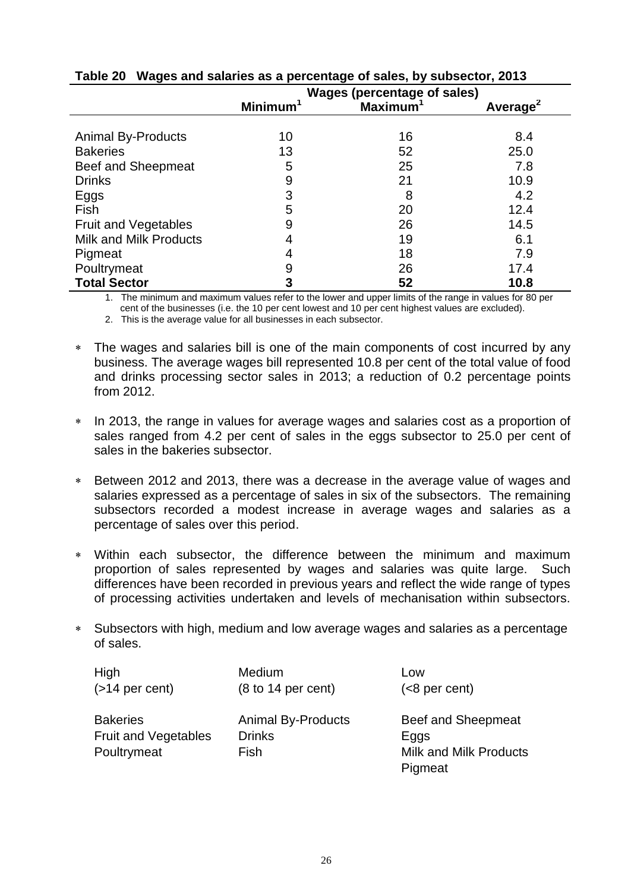|                             | <b>Wages (percentage of sales)</b> |                      |                      |
|-----------------------------|------------------------------------|----------------------|----------------------|
|                             | <b>Minimum</b>                     | Maximum <sup>1</sup> | Average <sup>2</sup> |
|                             |                                    |                      |                      |
| <b>Animal By-Products</b>   | 10                                 | 16                   | 8.4                  |
| <b>Bakeries</b>             | 13                                 | 52                   | 25.0                 |
| <b>Beef and Sheepmeat</b>   | 5                                  | 25                   | 7.8                  |
| <b>Drinks</b>               | 9                                  | 21                   | 10.9                 |
| Eggs                        | 3                                  | 8                    | 4.2                  |
| Fish                        | 5                                  | 20                   | 12.4                 |
| <b>Fruit and Vegetables</b> | 9                                  | 26                   | 14.5                 |
| Milk and Milk Products      | 4                                  | 19                   | 6.1                  |
| Pigmeat                     | 4                                  | 18                   | 7.9                  |
| Poultrymeat                 | 9                                  | 26                   | 17.4                 |
| <b>Total Sector</b>         | 3                                  | 52                   | 10.8                 |

## **Table 20 Wages and salaries as a percentage of sales, by subsector, 2013**

1. The minimum and maximum values refer to the lower and upper limits of the range in values for 80 per cent of the businesses (i.e. the 10 per cent lowest and 10 per cent highest values are excluded).

- The wages and salaries bill is one of the main components of cost incurred by any business. The average wages bill represented 10.8 per cent of the total value of food and drinks processing sector sales in 2013; a reduction of 0.2 percentage points from 2012.
- In 2013, the range in values for average wages and salaries cost as a proportion of sales ranged from 4.2 per cent of sales in the eggs subsector to 25.0 per cent of sales in the bakeries subsector.
- Between 2012 and 2013, there was a decrease in the average value of wages and salaries expressed as a percentage of sales in six of the subsectors. The remaining subsectors recorded a modest increase in average wages and salaries as a percentage of sales over this period.
- Within each subsector, the difference between the minimum and maximum proportion of sales represented by wages and salaries was quite large. Such differences have been recorded in previous years and reflect the wide range of types of processing activities undertaken and levels of mechanisation within subsectors.
- Subsectors with high, medium and low average wages and salaries as a percentage of sales.

| High                                                          | <b>Medium</b>                                      | Low                                                                    |
|---------------------------------------------------------------|----------------------------------------------------|------------------------------------------------------------------------|
| $($ >14 per cent)                                             | $(8 \text{ to } 14 \text{ per cent})$              | $(8 per cent)$                                                         |
| <b>Bakeries</b><br><b>Fruit and Vegetables</b><br>Poultrymeat | <b>Animal By-Products</b><br><b>Drinks</b><br>Fish | Beef and Sheepmeat<br>Eggs<br><b>Milk and Milk Products</b><br>Pigmeat |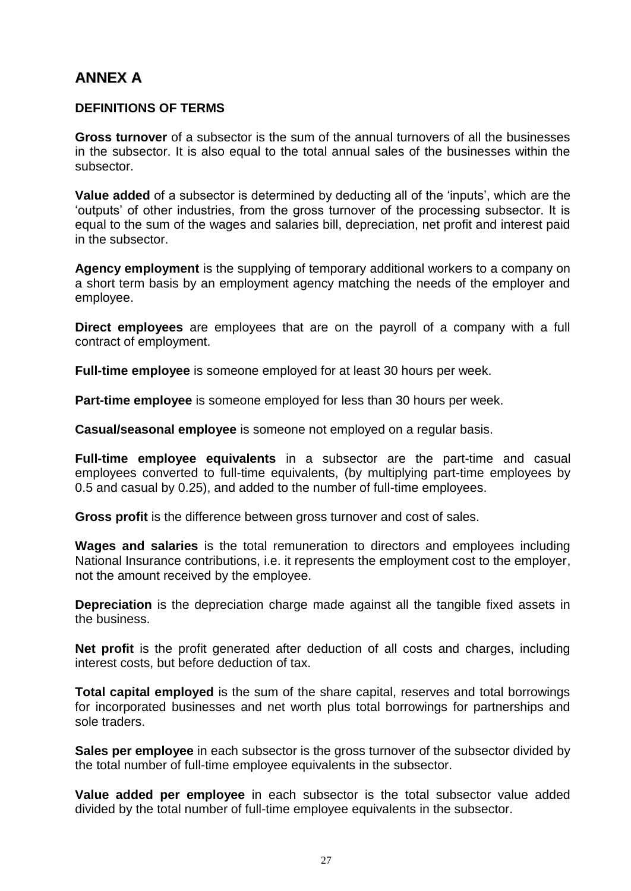# **ANNEX A**

#### **DEFINITIONS OF TERMS**

**Gross turnover** of a subsector is the sum of the annual turnovers of all the businesses in the subsector. It is also equal to the total annual sales of the businesses within the subsector.

**Value added** of a subsector is determined by deducting all of the 'inputs', which are the 'outputs' of other industries, from the gross turnover of the processing subsector. It is equal to the sum of the wages and salaries bill, depreciation, net profit and interest paid in the subsector.

**Agency employment** is the supplying of temporary additional workers to a company on a short term basis by an employment agency matching the needs of the employer and employee.

**Direct employees** are employees that are on the payroll of a company with a full contract of employment.

**Full-time employee** is someone employed for at least 30 hours per week.

**Part-time employee** is someone employed for less than 30 hours per week.

**Casual/seasonal employee** is someone not employed on a regular basis.

**Full-time employee equivalents** in a subsector are the part-time and casual employees converted to full-time equivalents, (by multiplying part-time employees by 0.5 and casual by 0.25), and added to the number of full-time employees.

**Gross profit** is the difference between gross turnover and cost of sales.

**Wages and salaries** is the total remuneration to directors and employees including National Insurance contributions, i.e. it represents the employment cost to the employer, not the amount received by the employee.

**Depreciation** is the depreciation charge made against all the tangible fixed assets in the business.

**Net profit** is the profit generated after deduction of all costs and charges, including interest costs, but before deduction of tax.

**Total capital employed** is the sum of the share capital, reserves and total borrowings for incorporated businesses and net worth plus total borrowings for partnerships and sole traders.

**Sales per employee** in each subsector is the gross turnover of the subsector divided by the total number of full-time employee equivalents in the subsector.

**Value added per employee** in each subsector is the total subsector value added divided by the total number of full-time employee equivalents in the subsector.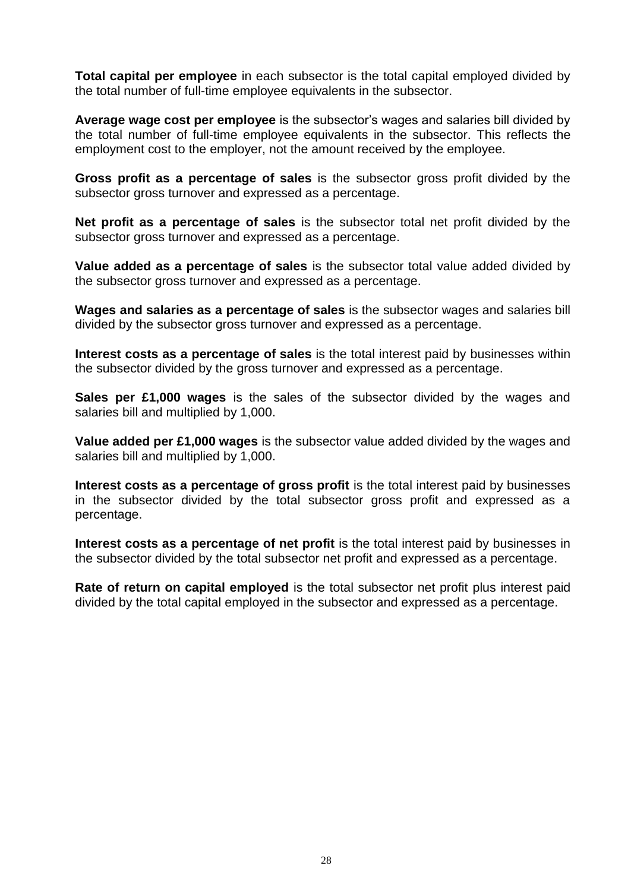**Total capital per employee** in each subsector is the total capital employed divided by the total number of full-time employee equivalents in the subsector.

**Average wage cost per employee** is the subsector's wages and salaries bill divided by the total number of full-time employee equivalents in the subsector. This reflects the employment cost to the employer, not the amount received by the employee.

**Gross profit as a percentage of sales** is the subsector gross profit divided by the subsector gross turnover and expressed as a percentage.

**Net profit as a percentage of sales** is the subsector total net profit divided by the subsector gross turnover and expressed as a percentage.

**Value added as a percentage of sales** is the subsector total value added divided by the subsector gross turnover and expressed as a percentage.

**Wages and salaries as a percentage of sales** is the subsector wages and salaries bill divided by the subsector gross turnover and expressed as a percentage.

**Interest costs as a percentage of sales** is the total interest paid by businesses within the subsector divided by the gross turnover and expressed as a percentage.

**Sales per £1,000 wages** is the sales of the subsector divided by the wages and salaries bill and multiplied by 1,000.

**Value added per £1,000 wages** is the subsector value added divided by the wages and salaries bill and multiplied by 1,000.

**Interest costs as a percentage of gross profit** is the total interest paid by businesses in the subsector divided by the total subsector gross profit and expressed as a percentage.

**Interest costs as a percentage of net profit** is the total interest paid by businesses in the subsector divided by the total subsector net profit and expressed as a percentage.

**Rate of return on capital employed** is the total subsector net profit plus interest paid divided by the total capital employed in the subsector and expressed as a percentage.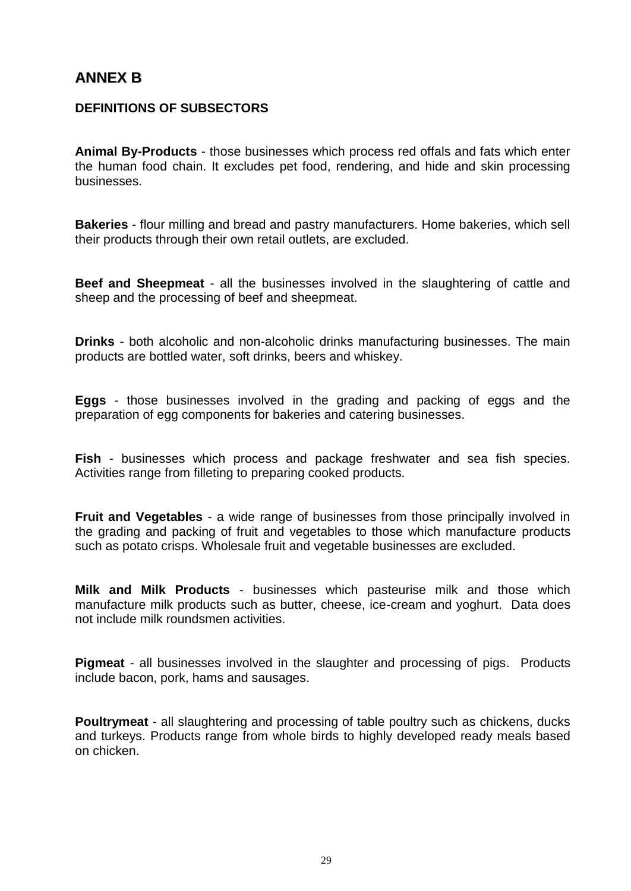## **ANNEX B**

## **DEFINITIONS OF SUBSECTORS**

**Animal By-Products** - those businesses which process red offals and fats which enter the human food chain. It excludes pet food, rendering, and hide and skin processing businesses.

**Bakeries** - flour milling and bread and pastry manufacturers. Home bakeries, which sell their products through their own retail outlets, are excluded.

**Beef and Sheepmeat** - all the businesses involved in the slaughtering of cattle and sheep and the processing of beef and sheepmeat.

**Drinks** - both alcoholic and non-alcoholic drinks manufacturing businesses. The main products are bottled water, soft drinks, beers and whiskey.

**Eggs** - those businesses involved in the grading and packing of eggs and the preparation of egg components for bakeries and catering businesses.

**Fish** - businesses which process and package freshwater and sea fish species. Activities range from filleting to preparing cooked products.

**Fruit and Vegetables** - a wide range of businesses from those principally involved in the grading and packing of fruit and vegetables to those which manufacture products such as potato crisps. Wholesale fruit and vegetable businesses are excluded.

**Milk and Milk Products** - businesses which pasteurise milk and those which manufacture milk products such as butter, cheese, ice-cream and yoghurt. Data does not include milk roundsmen activities.

**Pigmeat** - all businesses involved in the slaughter and processing of pigs. Products include bacon, pork, hams and sausages.

**Poultrymeat** - all slaughtering and processing of table poultry such as chickens, ducks and turkeys. Products range from whole birds to highly developed ready meals based on chicken.